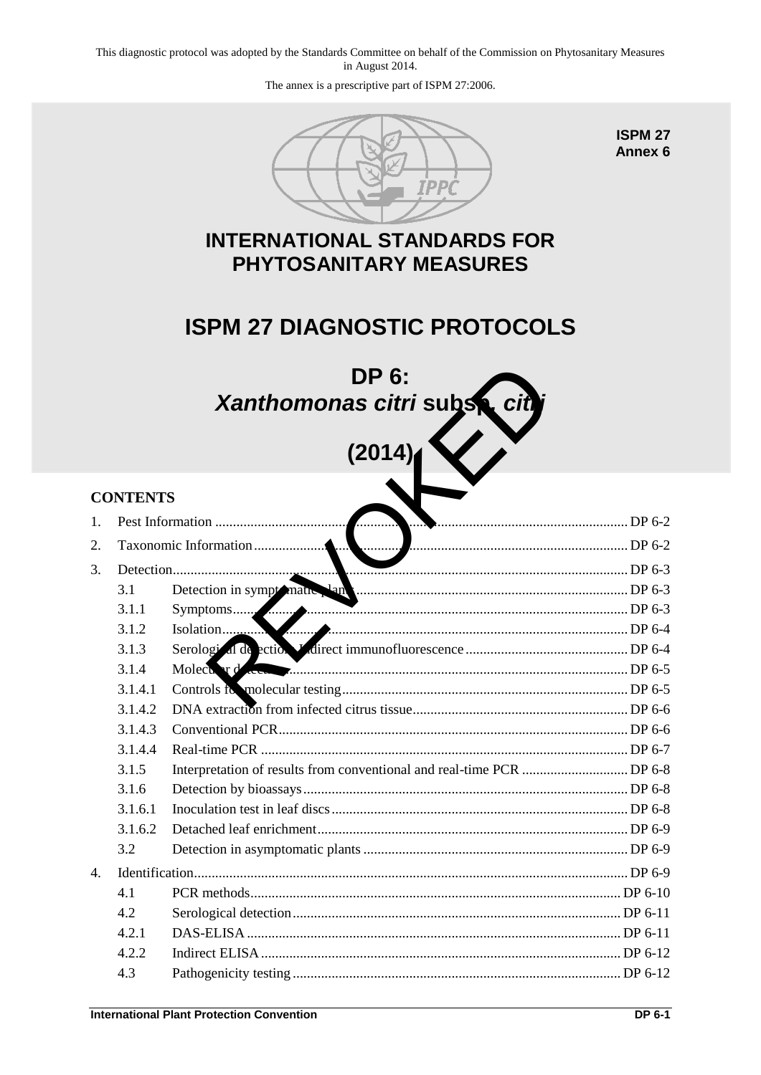This diagnostic protocol was adopted by the Standards Committee on behalf of the Commission on Phytosanitary Measures in August 2014.

The annex is a prescriptive part of ISPM 27:2006.



**ISPM 27 Annex 6** 

## **INTERNATIONAL STANDARDS FOR PHYTOSANITARY MEASURES**

# **ISPM 27 DIAGNOSTIC PROTOCOLS**



# **(2014)**

# **CONTENTS**  1. [Pest Information ..................................................................................................................... DP](#page-1-0) 6-2 2. Taxonomic Information .......................................................................................................... DP 6-2 3. Detection ................................................................................................................................. DP 6-3 3.1 Detection in symptomatic plants ............................................................................. DP 6-3 3.1.1 Symptoms ................................................................................................................ DP 6-3 3.1.2 [Isolation ................................................................................................................... DP](#page-3-0) 6-4 3.1.3 Serological detection: Indirect immunofluorescence .............................................. DP 6-4 3.1.4 Molecular detection ................................................................................................. DP 6-5 3.1.4.1 [Controls for molecular testing ................................................................................. DP](#page-4-1) 6-5 3.1.4.2 [DNA extraction from infected citrus tissue ............................................................. DP](#page-5-0) 6-6 3.1.4.3 [Conventional PCR ................................................................................................... DP](#page-5-1) 6-6 3.1.4.4 [Real-time PCR ........................................................................................................ DP](#page-6-0) 6-7 3.1.5 [Interpretation of results from conventional and real-time PCR .............................. DP](#page-7-0) 6-8 3.1.6 [Detection by bioassays ............................................................................................ DP](#page-7-1) 6-8 3.1.6.1 [Inoculation test in leaf discs .................................................................................... DP](#page-7-2) 6-8 3.1.6.2 [Detached leaf enrichment ........................................................................................ DP](#page-8-0) 6-9 3.2 [Detection in asymptomatic plants ........................................................................... DP](#page-8-1) 6-9 4. [Identification ........................................................................................................................... DP](#page-8-2) 6-9 4.1 [PCR methods ......................................................................................................... DP](#page-9-0) 6-10 4.2 [Serological detection ............................................................................................. DP](#page-10-0) 6-11 4.2.1 [DAS-ELISA .......................................................................................................... DP](#page-10-1) 6-11 4.2.2 [Indirect ELISA ...................................................................................................... DP](#page-11-0) 6-12 4.3 [Pathogenicity testing ............................................................................................. DP](#page-11-1) 6-12 DP 6:<br>
Xanthomonas citri subseted<br>
(2014)<br>
(2014)<br>
Constantion<br>
Constant of the contract immunofluorescence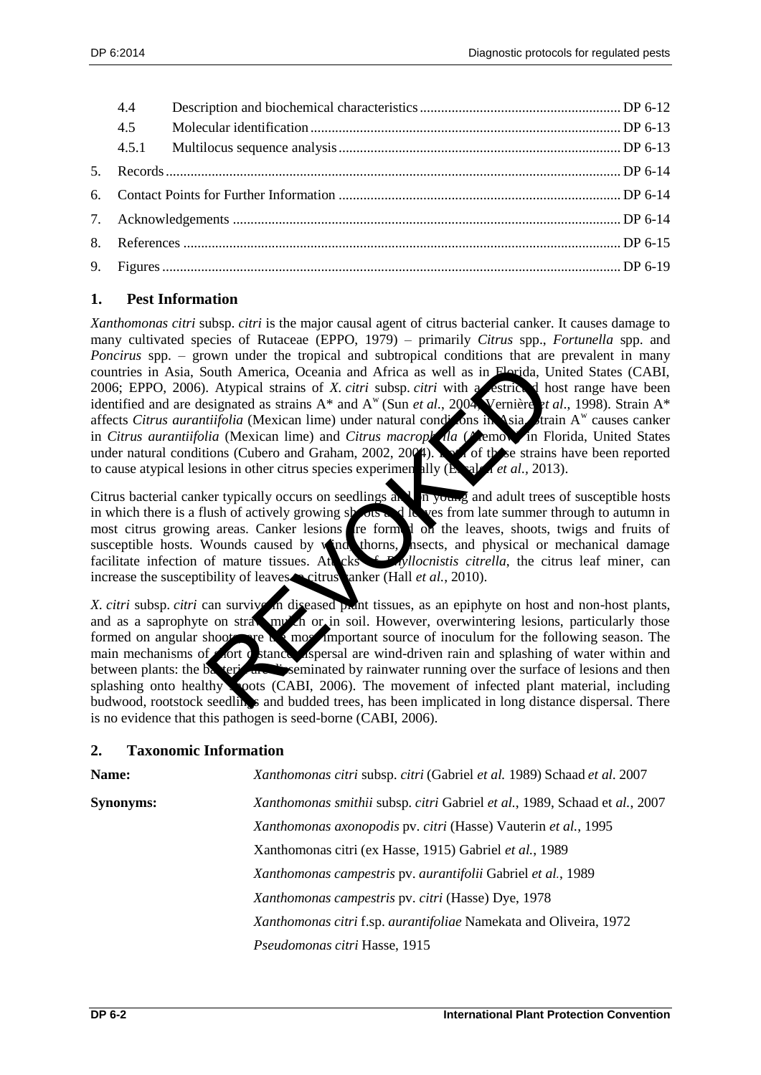| 4.4 |  |  |
|-----|--|--|
|     |  |  |
|     |  |  |
|     |  |  |
|     |  |  |
|     |  |  |
|     |  |  |
|     |  |  |

## <span id="page-1-0"></span>**1. Pest Information**

*Xanthomonas citri* subsp. *citri* is the major causal agent of citrus bacterial canker. It causes damage to many cultivated species of Rutaceae (EPPO, 1979) – primarily *Citrus* spp., *Fortunella* spp. and *Poncirus* spp. – grown under the tropical and subtropical conditions that are prevalent in many countries in Asia, South America, Oceania and Africa as well as in Florida, United States (CABI, 2006; EPPO, 2006). Atypical strains of *X. citri* subsp. *citri* with a restricted host range have been identified and are designated as strains  $A^*$  and  $A^w$  (Sun *et al.*, 2004; Vernière *et al.*, 1998). Strain  $A^*$ affects *Citrus aurantiifolia* (Mexican lime) under natural conditions in Asia. train  $A^w$  causes canker in *Citrus aurantiifolia* (Mexican lime) and *Citrus macroph* in *Chemow* in Florida, United States under natural conditions (Cubero and Graham, 2002, 2004). Both of these strains have been reported to cause atypical lesions in other citrus species experimentally (Escalon *et al.,* 2013). outh America, Oceania and Africa as well as in Florida, U. Atypical strains of *X. citri* subsp. *citri* with a sestrict. In high signated as strains  $A^*$  and  $A^w$  (Sun *et al.*, 2002, Vernière *titifolia* (Mexican lime

Citrus bacterial canker typically occurs on seedlings and  $\eta$  m young and adult trees of susceptible hosts in which there is a flush of actively growing shoots and leaves from late summer through to autumn in most citrus growing areas. Canker lesions are formed on the leaves, shoots, twigs and fruits of susceptible hosts. Wounds caused by wind, thorns, hasects, and physical or mechanical damage facilitate infection of mature tissues. Attacks **C** *Phyllocnistis citrella*, the citrus leaf miner, can increase the susceptibility of leaves citrus anker (Hall *et al.*, 2010).

*X. citri* subsp. *citri* can survive in diseased plant tissues, as an epiphyte on host and non-host plants, and as a saprophyte on straw multiple or in soil. However, overwintering lesions, particularly those formed on angular shoots, are the most important source of inoculum for the following season. The main mechanisms of short distance. Is approved are wind-driven rain and splashing of water within and between plants: the bacteria are disseminated by rainwater running over the surface of lesions and then splashing onto healthy soots (CABI, 2006). The movement of infected plant material, including budwood, rootstock seedlings and budded trees, has been implicated in long distance dispersal. There is no evidence that this pathogen is seed-borne (CABI, 2006).

## <span id="page-1-1"></span>**2. Taxonomic Information**

| Name:            | Xanthomonas citri subsp. citri (Gabriel et al. 1989) Schaad et al. 2007    |  |  |  |
|------------------|----------------------------------------------------------------------------|--|--|--|
| <b>Synonyms:</b> | Xanthomonas smithii subsp. citri Gabriel et al., 1989, Schaad et al., 2007 |  |  |  |
|                  | Xanthomonas axonopodis pv. citri (Hasse) Vauterin et al., 1995             |  |  |  |
|                  | Xanthomonas citri (ex Hasse, 1915) Gabriel et al., 1989                    |  |  |  |
|                  | Xanthomonas campestris pv. aurantifolii Gabriel et al., 1989               |  |  |  |
|                  | Xanthomonas campestris pv. citri (Hasse) Dye, 1978                         |  |  |  |
|                  | Xanthomonas citri f.sp. aurantifoliae Namekata and Oliveira, 1972          |  |  |  |
|                  | Pseudomonas citri Hasse, 1915                                              |  |  |  |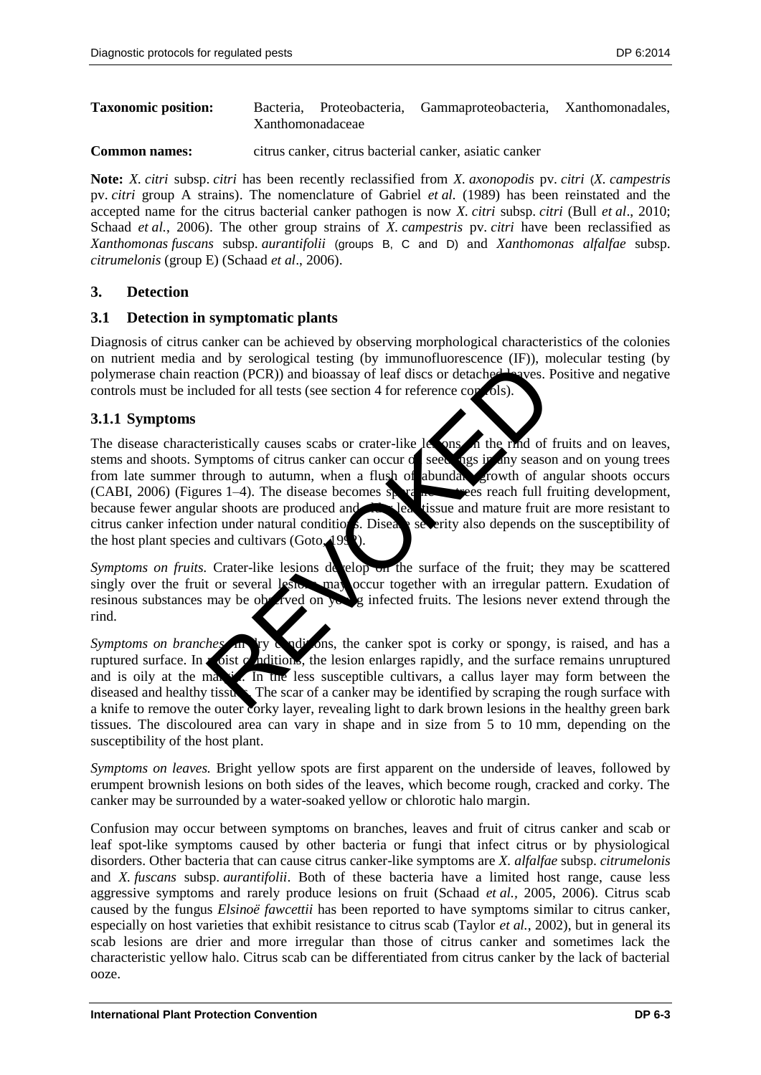## **Taxonomic position:** Bacteria, Proteobacteria, Gammaproteobacteria, Xanthomonadales, Xanthomonadaceae

**Common names:** citrus canker, citrus bacterial canker, asiatic canker

**Note:** *X. citri* subsp. *citri* has been recently reclassified from *X. axonopodis* pv. *citri* (*X. campestris* pv. *citri* group A strains). The nomenclature of Gabriel *et al.* (1989) has been reinstated and the accepted name for the citrus bacterial canker pathogen is now *X. citri* subsp. *citri* (Bull *et al*., 2010; Schaad *et al.*, 2006). The other group strains of *X. campestris* pv. *citri* have been reclassified as *Xanthomonas fuscans* subsp. *aurantifolii* (groups B, C and D) and *Xanthomonas alfalfae* subsp. *citrumelonis* (group E) (Schaad *et al*., 2006).

## <span id="page-2-0"></span>**3. Detection**

## <span id="page-2-1"></span>**3.1 Detection in symptomatic plants**

Diagnosis of citrus canker can be achieved by observing morphological characteristics of the colonies on nutrient media and by serological testing (by immunofluorescence (IF)), molecular testing (by polymerase chain reaction (PCR)) and bioassay of leaf discs or detached leaves. Positive and negative controls must be included for all tests (see section 4 for reference controls).

## <span id="page-2-2"></span>**3.1.1 Symptoms**

The disease characteristically causes scabs or crater-like less on the rind of fruits and on leaves, stems and shoots. Symptoms of citrus canker can occur of seedlings in any season and on young trees from late summer through to autumn, when a flush of abundant growth of angular shoots occurs (CABI, 2006) (Figures 1–4). The disease becomes sporadic as the seach full fruiting development, because fewer angular shoots are produced and leaf tissue and mature fruit are more resistant to citrus canker infection under natural conditions. Disease severity also depends on the susceptibility of the host plant species and cultivars (Goto, mation (PCR)) and bioassay of leaf dises or detached layers. I<br>tuded for all tests (see section 4 for reference conclis).<br>tuded for all tests (see section 4 for reference conclis).<br>tuded for all tests (see section 4 for re

*Symptoms on fruits.* Crater-like lesions develop on the surface of the fruit; they may be scattered singly over the fruit or several lesion may occur together with an irregular pattern. Exudation of resinous substances may be observed on young infected fruits. The lesions never extend through the rind.

*Symptoms on branches*. In try conditions, the canker spot is corky or spongy, is raised, and has a ruptured surface. In  $\mathbf{r}$  oist  $\mathbf{r}$  ditions, the lesion enlarges rapidly, and the surface remains unruptured and is oily at the may is. In the less susceptible cultivars, a callus layer may form between the diseased and healthy tissues. The scar of a canker may be identified by scraping the rough surface with a knife to remove the outer corky layer, revealing light to dark brown lesions in the healthy green bark tissues. The discoloured area can vary in shape and in size from 5 to 10 mm, depending on the susceptibility of the host plant.

*Symptoms on leaves.* Bright yellow spots are first apparent on the underside of leaves, followed by erumpent brownish lesions on both sides of the leaves, which become rough, cracked and corky. The canker may be surrounded by a water-soaked yellow or chlorotic halo margin.

Confusion may occur between symptoms on branches, leaves and fruit of citrus canker and scab or leaf spot-like symptoms caused by other bacteria or fungi that infect citrus or by physiological disorders. Other bacteria that can cause citrus canker-like symptoms are *X. alfalfae* subsp. *citrumelonis* and *X. fuscans* subsp. *aurantifolii*. Both of these bacteria have a limited host range, cause less aggressive symptoms and rarely produce lesions on fruit (Schaad *et al.,* 2005, 2006). Citrus scab caused by the fungus *Elsinoë fawcettii* has been reported to have symptoms similar to citrus canker, especially on host varieties that exhibit resistance to citrus scab (Taylor *et al.*, 2002), but in general its scab lesions are drier and more irregular than those of citrus canker and sometimes lack the characteristic yellow halo. Citrus scab can be differentiated from citrus canker by the lack of bacterial ooze.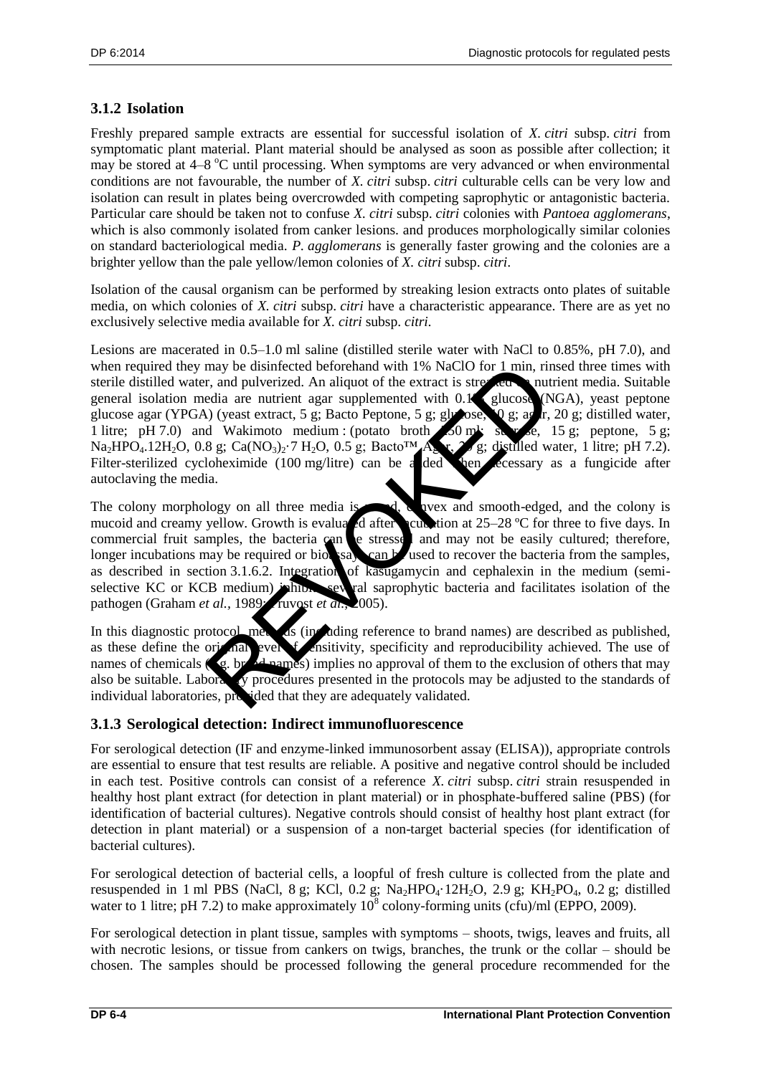## <span id="page-3-0"></span>**3.1.2 Isolation**

Freshly prepared sample extracts are essential for successful isolation of *X. citri* subsp. *citri* from symptomatic plant material. Plant material should be analysed as soon as possible after collection; it may be stored at 4–8 °C until processing. When symptoms are very advanced or when environmental conditions are not favourable, the number of *X. citri* subsp. *citri* culturable cells can be very low and isolation can result in plates being overcrowded with competing saprophytic or antagonistic bacteria. Particular care should be taken not to confuse *X. citri* subsp. *citri* colonies with *Pantoea agglomerans*, which is also commonly isolated from canker lesions. and produces morphologically similar colonies on standard bacteriological media. *P. agglomerans* is generally faster growing and the colonies are a brighter yellow than the pale yellow/lemon colonies of *X. citri* subsp. *citri*.

Isolation of the causal organism can be performed by streaking lesion extracts onto plates of suitable media, on which colonies of *X. citri* subsp. *citri* have a characteristic appearance. There are as yet no exclusively selective media available for *X. citri* subsp. *citri.*

Lesions are macerated in 0.5–1.0 ml saline (distilled sterile water with NaCl to 0.85%, pH 7.0), and when required they may be disinfected beforehand with 1% NaClO for 1 min, rinsed three times with sterile distilled water, and pulverized. An aliquot of the extract is streaked on nutrient media. Suitable general isolation media are nutrient agar supplemented with 0.1% glucose (NGA), yeast peptone glucose agar (YPGA) (yeast extract, 5 g; Bacto Peptone, 5 g; glucose, 0 g; agar, 20 g; distilled water, 1 litre; pH 7.0) and Wakimoto medium : (potato broth 250 ml; sucrose, 15 g; peptone, 5 g;  $Na_2HPO_4.12H_2O$ , 0.8 g;  $Ca(NO_3)_2.7 H_2O$ , 0.5 g;  $Bacto^{TM}A_2$ ,  $\gamma$  g; distilled water, 1 litre; pH 7.2). Filter-sterilized cycloheximide (100 mg/litre) can be a ded when ccessary as a fungicide after autoclaving the media. may be disinfected beforehand with 1% NaClO for 1 min, rind pulverized. An aliquot of the extract is stressed<br>collare nutrient agar supplemented with 0.1 values of NaClO for 1 min, rind<br>in a nutrient agar supplemented wit

The colony morphology on all three media is  $\mathbb{R}$  is evex and smooth-edged, and the colony is mucoid and creamy yellow. Growth is evaluated after the cubation at 25–28 °C for three to five days. In commercial fruit samples, the bacteria can be stressed and may not be easily cultured; therefore, longer incubations may be required or bioassays can be used to recover the bacteria from the samples, as described in section 3.1.6.2. Integration of kasugamycin and cephalexin in the medium (semiselective KC or KCB medium) inhibits seeveral saprophytic bacteria and facilitates isolation of the pathogen (Graham *et al.,* 1989; *Pruvost et al.,* 2005).

In this diagnostic protocol, methods (including reference to brand names) are described as published, as these define the original level  $\epsilon$  sensitivity, specificity and reproducibility achieved. The use of names of chemicals ( $\leq$ , brand names) implies no approval of them to the exclusion of others that may also be suitable. Laboratory procedures presented in the protocols may be adjusted to the standards of individual laboratories, provided that they are adequately validated.

## <span id="page-3-1"></span>**3.1.3 Serological detection: Indirect immunofluorescence**

For serological detection (IF and enzyme-linked immunosorbent assay (ELISA)), appropriate controls are essential to ensure that test results are reliable. A positive and negative control should be included in each test. Positive controls can consist of a reference *X. citri* subsp. *citri* strain resuspended in healthy host plant extract (for detection in plant material) or in phosphate-buffered saline (PBS) (for identification of bacterial cultures). Negative controls should consist of healthy host plant extract (for detection in plant material) or a suspension of a non-target bacterial species (for identification of bacterial cultures).

For serological detection of bacterial cells, a loopful of fresh culture is collected from the plate and resuspended in 1 ml PBS (NaCl, 8 g; KCl, 0.2 g; Na<sub>2</sub>HPO<sub>4</sub>·12H<sub>2</sub>O, 2.9 g; KH<sub>2</sub>PO<sub>4</sub>, 0.2 g; distilled water to 1 litre; pH 7.2) to make approximately  $10^8$  colony-forming units (cfu)/ml (EPPO, 2009).

For serological detection in plant tissue, samples with symptoms – shoots, twigs, leaves and fruits, all with necrotic lesions, or tissue from cankers on twigs, branches, the trunk or the collar – should be chosen. The samples should be processed following the general procedure recommended for the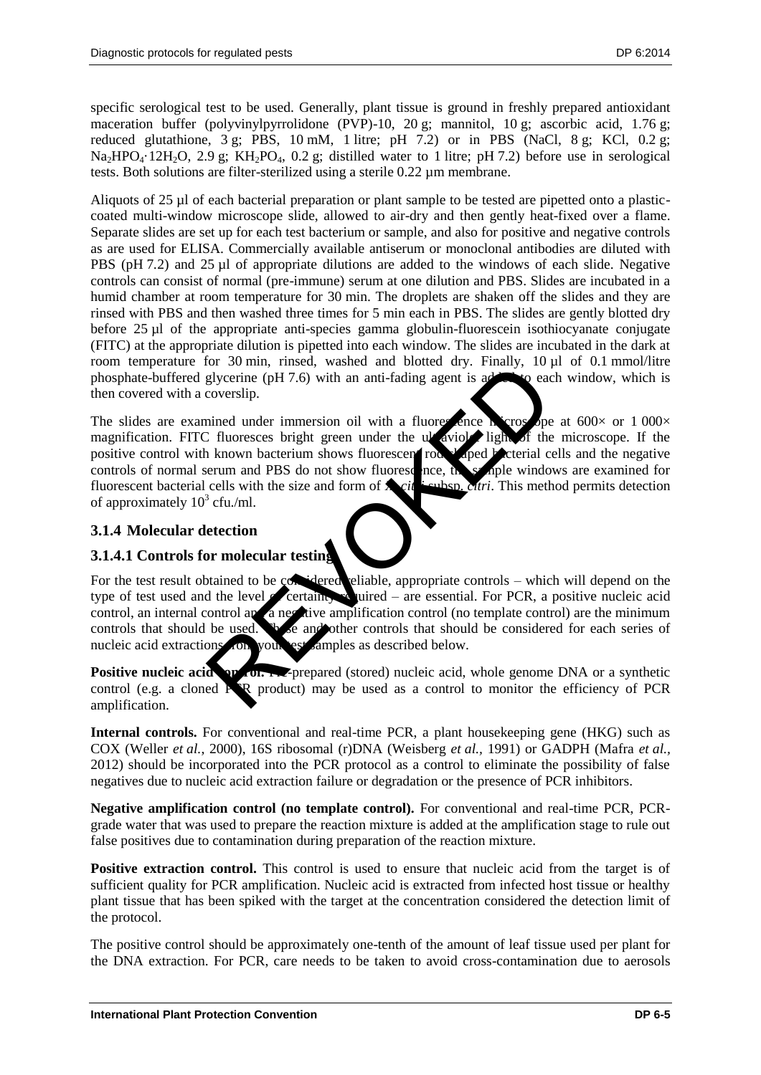specific serological test to be used. Generally, plant tissue is ground in freshly prepared antioxidant maceration buffer (polyvinylpyrrolidone (PVP)-10, 20 g; mannitol, 10 g; ascorbic acid, 1.76 g; reduced glutathione,  $3 \text{ g}$ ; PBS,  $10 \text{ mM}$ ,  $1 \text{ litre}$ ;  $pH$  7.2) or in PBS (NaCl,  $8 \text{ g}$ ; KCl,  $0.2 \text{ g}$ ;  $Na<sub>2</sub>HPO<sub>4</sub>·12H<sub>2</sub>O$ , 2.9 g; KH<sub>2</sub>PO<sub>4</sub>, 0.2 g; distilled water to 1 litre; pH 7.2) before use in serological tests. Both solutions are filter-sterilized using a sterile 0.22 µm membrane.

Aliquots of 25 µl of each bacterial preparation or plant sample to be tested are pipetted onto a plasticcoated multi-window microscope slide, allowed to air-dry and then gently heat-fixed over a flame. Separate slides are set up for each test bacterium or sample, and also for positive and negative controls as are used for ELISA. Commercially available antiserum or monoclonal antibodies are diluted with PBS (pH 7.2) and 25 µl of appropriate dilutions are added to the windows of each slide. Negative controls can consist of normal (pre-immune) serum at one dilution and PBS. Slides are incubated in a humid chamber at room temperature for 30 min. The droplets are shaken off the slides and they are rinsed with PBS and then washed three times for 5 min each in PBS. The slides are gently blotted dry before 25 µl of the appropriate anti-species gamma globulin-fluorescein isothiocyanate conjugate (FITC) at the appropriate dilution is pipetted into each window. The slides are incubated in the dark at room temperature for 30 min, rinsed, washed and blotted dry. Finally, 10 ul of 0.1 mmol/litre phosphate-buffered glycerine (pH 7.6) with an anti-fading agent is added to each window, which is then covered with a coverslip.

The slides are examined under immersion oil with a fluorescence microscope at  $600\times$  or  $1\,000\times$ magnification. FITC fluoresces bright green under the ultraviolet light of the microscope. If the positive control with known bacterium shows fluorescent rod- $\frac{1}{2}$  aped bacterial cells and the negative controls of normal serum and PBS do not show fluorescence, the sample windows are examined for fluorescent bacterial cells with the size and form of  $\sum_{i}$  is eulesp. *ctri*. This method permits detection of approximately  $10^3$  cfu./ml. Solution in the size of the material and solution and solution in the size of the same of the same of the size of the same of the size of the size of the size of the size of the size of the size of the size of the size of

## <span id="page-4-0"></span>**3.1.4 Molecular detection**

## <span id="page-4-1"></span>**3.1.4.1 Controls for molecular testing**

For the test result obtained to be considered reliable, appropriate controls – which will depend on the type of test used and the level **of certainty** required – are essential. For PCR, a positive nucleic acid control, an internal control and a negative amplification control (no template control) are the minimum controls that should be used. These and other controls that should be considered for each series of nucleic acid extractions from your est samples as described below.

**Positive nucleic acid spaces.** Prepared (stored) nucleic acid, whole genome DNA or a synthetic control (e.g. a cloned  $\mathbf{P}^{\prime}R$  product) may be used as a control to monitor the efficiency of PCR amplification.

**Internal controls.** For conventional and real-time PCR, a plant housekeeping gene (HKG) such as COX (Weller *et al.*, 2000), 16S ribosomal (r)DNA (Weisberg *et al.,* 1991) or GADPH (Mafra *et al.,* 2012) should be incorporated into the PCR protocol as a control to eliminate the possibility of false negatives due to nucleic acid extraction failure or degradation or the presence of PCR inhibitors.

**Negative amplification control (no template control).** For conventional and real-time PCR, PCRgrade water that was used to prepare the reaction mixture is added at the amplification stage to rule out false positives due to contamination during preparation of the reaction mixture.

**Positive extraction control.** This control is used to ensure that nucleic acid from the target is of sufficient quality for PCR amplification. Nucleic acid is extracted from infected host tissue or healthy plant tissue that has been spiked with the target at the concentration considered the detection limit of the protocol.

The positive control should be approximately one-tenth of the amount of leaf tissue used per plant for the DNA extraction. For PCR, care needs to be taken to avoid cross-contamination due to aerosols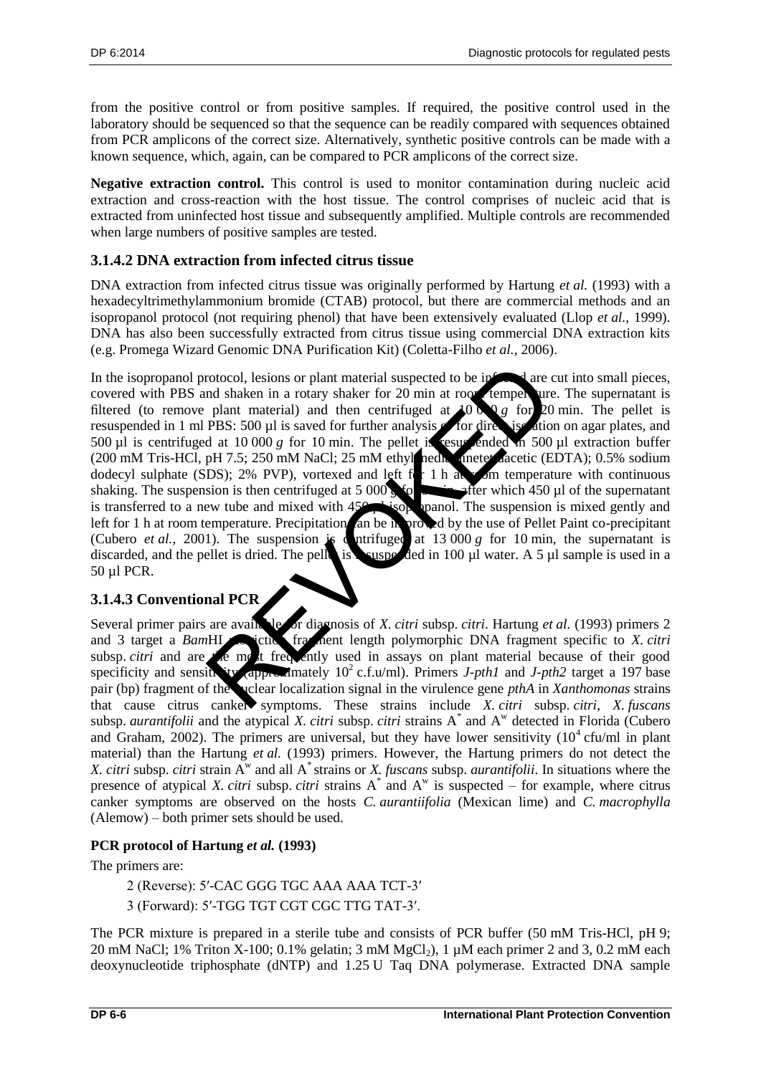from the positive control or from positive samples. If required, the positive control used in the laboratory should be sequenced so that the sequence can be readily compared with sequences obtained from PCR amplicons of the correct size. Alternatively, synthetic positive controls can be made with a known sequence, which, again, can be compared to PCR amplicons of the correct size.

**Negative extraction control.** This control is used to monitor contamination during nucleic acid extraction and cross-reaction with the host tissue. The control comprises of nucleic acid that is extracted from uninfected host tissue and subsequently amplified. Multiple controls are recommended when large numbers of positive samples are tested.

## <span id="page-5-0"></span>**3.1.4.2 DNA extraction from infected citrus tissue**

DNA extraction from infected citrus tissue was originally performed by Hartung *et al.* (1993) with a hexadecyltrimethylammonium bromide (CTAB) protocol, but there are commercial methods and an isopropanol protocol (not requiring phenol) that have been extensively evaluated (Llop *et al.*, 1999). DNA has also been successfully extracted from citrus tissue using commercial DNA extraction kits (e.g. Promega Wizard Genomic DNA Purification Kit) (Coletta-Filho *et al.,* 2006).

In the isopropanol protocol, lesions or plant material suspected to be infected are cut into small pieces, covered with PBS and shaken in a rotary shaker for 20 min at room temperature. The supernatant is filtered (to remove plant material) and then centrifuged at  $1000 \text{ g}$  for 20 min. The pellet is resuspended in 1 ml PBS: 500 µl is saved for further analysis or for direct isolation on agar plates, and 500  $\mu$ l is centrifuged at 10 000 *g* for 10 min. The pellet is resuspended in 500  $\mu$ l extraction buffer (200 mM Tris-HCl, pH 7.5; 250 mM NaCl; 25 mM ethyl nedix anetet aacetic (EDTA); 0.5% sodium dodecyl sulphate (SDS); 2% PVP), vortexed and left  $f_1$  h at  $\sim$  m temperature with continuous shaking. The suspension is then centrifuged at 5 000 **g**  $\circ$  **fter** which 450 µl of the supernatant is transferred to a new tube and mixed with  $450$  **b** isopanol. The suspension is mixed gently and left for 1 h at room temperature. Precipitation an be in proved by the use of Pellet Paint co-precipitant (Cubero *et al.*, 2001). The suspension is cultiplying at 13 000 *g* for 10 min, the supernatant is discarded, and the pellet is dried. The pellet is resuspected in 100  $\mu$ l water. A 5  $\mu$ l sample is used in a 50 µl PCR. rotocol, lesions or plant material suspected to be informed and<br>
mat material) and then centrifuged at 40 or g for 20<br>
PBS: 500 µl is saved for further analysis for dire is satio<br>
d at 10 000 g for 10 min. The pellet is e

## <span id="page-5-1"></span>**3.1.4.3 Conventional PCR**

Several primer pairs are available or diagnosis of *X. citri* subsp. *citri*. Hartung *et al.* (1993) primers 2 and 3 target a *BamHI* restriction fragment length polymorphic DNA fragment specific to *X. citri* subsp. *citri* and are the most frequently used in assays on plant material because of their good specificity and sensitivity approximately  $10^2$  c.f.u/ml). Primers *J-pth1* and *J-pth2* target a 197 base pair (bp) fragment of the nuclear localization signal in the virulence gene *pthA* in *Xanthomonas* strains that cause citrus canker symptoms. These strains include *X. citri* subsp. *citri*, *X. fuscans* subsp. *aurantifolii* and the atypical *X. citri* subsp. *citri* strains  $A^*$  and  $A^w$  detected in Florida (Cubero and Graham, 2002). The primers are universal, but they have lower sensitivity  $(10^4 \text{ c}$ fu/ml in plant material) than the Hartung *et al.* (1993) primers. However, the Hartung primers do not detect the *X. citri* subsp. *citri* strain  $A^w$  and all  $A^*$  strains or *X. fuscans* subsp. *aurantifolii*. In situations where the presence of atypical *X. citri* subsp. *citri* strains  $A^*$  and  $A^w$  is suspected – for example, where citrus canker symptoms are observed on the hosts *C. aurantiifolia* (Mexican lime) and *C. macrophylla* (Alemow) – both primer sets should be used.

## **PCR protocol of Hartung** *et al.* **(1993)**

The primers are:

2 (Reverse): 5′-CAC GGG TGC AAA AAA TCT-3′

3 (Forward): 5′-TGG TGT CGT CGC TTG TAT-3′.

The PCR mixture is prepared in a sterile tube and consists of PCR buffer (50 mM Tris-HCl, pH 9; 20 mM NaCl; 1% Triton X-100; 0.1% gelatin; 3 mM MgCl<sub>2</sub>), 1  $\mu$ M each primer 2 and 3, 0.2 mM each deoxynucleotide triphosphate (dNTP) and 1.25 U Taq DNA polymerase. Extracted DNA sample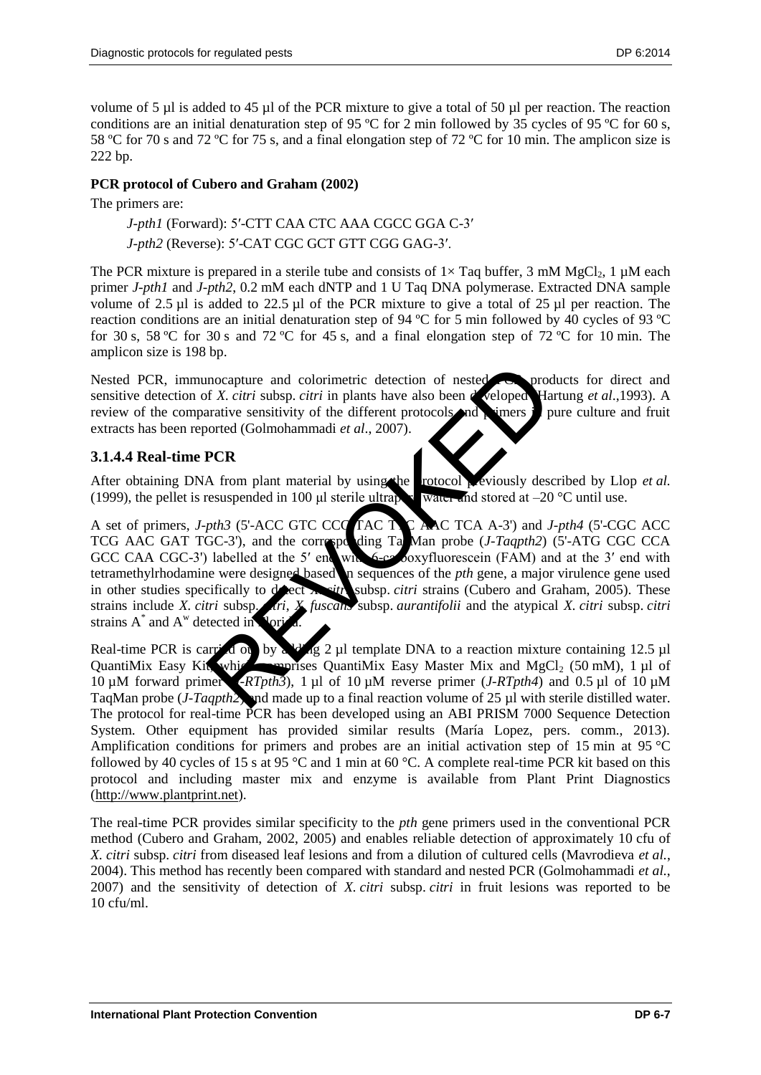volume of 5 ul is added to 45 ul of the PCR mixture to give a total of 50 ul per reaction. The reaction conditions are an initial denaturation step of 95 °C for 2 min followed by 35 cycles of 95 °C for 60 s, 58 ºC for 70 s and 72 ºC for 75 s, and a final elongation step of 72 ºC for 10 min. The amplicon size is 222 bp.

## **PCR protocol of Cubero and Graham (2002)**

The primers are:

*J-pth1* (Forward): 5′-CTT CAA CTC AAA CGCC GGA C-3′ *J-pth2* (Reverse): 5′-CAT CGC GCT GTT CGG GAG-3′.

The PCR mixture is prepared in a sterile tube and consists of  $1 \times$  Taq buffer, 3 mM MgCl<sub>2</sub>, 1  $\mu$ M each primer *J-pth1* and *J-pth2*, 0.2 mM each dNTP and 1 U Taq DNA polymerase. Extracted DNA sample volume of 2.5 µl is added to 22.5 µl of the PCR mixture to give a total of 25 µl per reaction. The reaction conditions are an initial denaturation step of 94 ºC for 5 min followed by 40 cycles of 93 ºC for 30 s, 58 °C for 30 s and 72 °C for 45 s, and a final elongation step of 72 °C for 10 min. The amplicon size is 198 bp.

Nested PCR, immunocapture and colorimetric detection of nested PCR products for direct and sensitive detection of *X. citri* subsp. *citri* in plants have also been developed Hartung *et al.*,1993). A review of the comparative sensitivity of the different protocols and primers in pure culture and fruit extracts has been reported (Golmohammadi *et al*., 2007).

## <span id="page-6-0"></span>**3.1.4.4 Real-time PCR**

After obtaining DNA from plant material by using the rotocol previously described by Llop *et al.* (1999), the pellet is resuspended in 100  $\mu$ l sterile ultrapure water and stored at –20 °C until use.

A set of primers, *J-pth3* (5'-ACC GTC CCC TAC TTC AAC TCA A-3') and *J-pth4* (5'-CGC ACC TCG AAC GAT TGC-3'), and the corresponding Ta<sub>t</sub>Man probe (*J-Taqpth2*) (5'-ATG CGC CCA GCC CAA CGC-3') labelled at the 5' end with 6-carboxyfluorescein (FAM) and at the 3' end with tetramethylrhodamine were designed based in sequences of the *pth* gene, a major virulence gene used in other studies specifically to detect *X. sith* subsp. *citri* strains (Cubero and Graham, 2005). These strains include *X. citri* subsp. *citri*, *X. fuscans* subsp. *aurantifolii* and the atypical *X. citri* subsp. *citri* strains  $A^*$  and  $A^w$  detected in Florida. mocapture and colorimetric detection of nested<br>
For X. citri subsp. citri in plants have also been detectored Handrive sensitivity of the different protocols and viners<br>
orted (Golmohammadi *et al.*, 2007).<br>
PCR<br>
A from p

Real-time PCR is carried out by a ding 2 µl template DNA to a reaction mixture containing 12.5 µl QuantiMix Easy Kit, which comprises QuantiMix Easy Master Mix and MgCl<sub>2</sub> (50 mM), 1 µl of 10 µM forward primer (*J-RTpth3*), 1 µl of 10 µM reverse primer (*J-RTpth4*) and 0.5 µl of 10 µM TaqMan probe (*J-Taqpth2*) and made up to a final reaction volume of 25 µl with sterile distilled water. The protocol for real-time PCR has been developed using an ABI PRISM 7000 Sequence Detection System. Other equipment has provided similar results (María Lopez, pers. comm., 2013). Amplification conditions for primers and probes are an initial activation step of 15 min at 95 °C followed by 40 cycles of 15 s at 95 °C and 1 min at 60 °C. A complete real-time PCR kit based on this protocol and including master mix and enzyme is available from Plant Print Diagnostics [\(http://www.plantprint.net\)](http://www.plantprint.net/).

The real-time PCR provides similar specificity to the *pth* gene primers used in the conventional PCR method (Cubero and Graham, 2002, 2005) and enables reliable detection of approximately 10 cfu of *X. citri* subsp. *citri* from diseased leaf lesions and from a dilution of cultured cells (Mavrodieva *et al.*, 2004). This method has recently been compared with standard and nested PCR (Golmohammadi *et al.*, 2007) and the sensitivity of detection of *X. citri* subsp. *citri* in fruit lesions was reported to be 10 cfu/ml.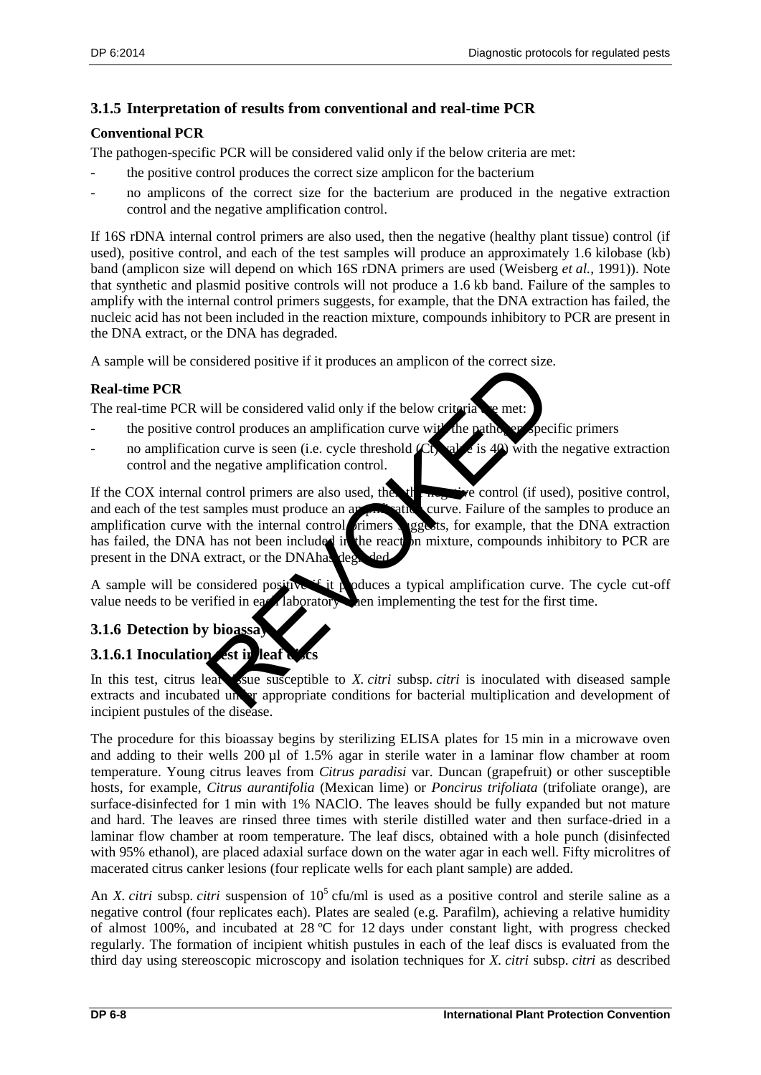## <span id="page-7-0"></span>**3.1.5 Interpretation of results from conventional and real-time PCR**

## **Conventional PCR**

The pathogen-specific PCR will be considered valid only if the below criteria are met:

- the positive control produces the correct size amplicon for the bacterium
- no amplicons of the correct size for the bacterium are produced in the negative extraction control and the negative amplification control.

If 16S rDNA internal control primers are also used, then the negative (healthy plant tissue) control (if used), positive control, and each of the test samples will produce an approximately 1.6 kilobase (kb) band (amplicon size will depend on which 16S rDNA primers are used (Weisberg *et al.*, 1991)). Note that synthetic and plasmid positive controls will not produce a 1.6 kb band. Failure of the samples to amplify with the internal control primers suggests, for example, that the DNA extraction has failed, the nucleic acid has not been included in the reaction mixture, compounds inhibitory to PCR are present in the DNA extract, or the DNA has degraded.

A sample will be considered positive if it produces an amplicon of the correct size.

## **Real-time PCR**

The real-time PCR will be considered valid only if the below criteria  $\mathbf{r}_i$  e met:

- the positive control produces an amplification curve with the pathogen-specific primers
- no amplification curve is seen (i.e. cycle threshold  $\mathcal{L}$ t) value is 40) with the negative extraction control and the negative amplification control.

If the COX internal control primers are also used, then the negative control (if used), positive control, and each of the test samples must produce an appendixies curve. Failure of the samples to produce an amplification curve with the internal control **primers** suggests, for example, that the DNA extraction has failed, the DNA has not been included in the reactor mixture, compounds inhibitory to PCR are present in the DNA extract, or the DNAhas deg Figure 1.1 produces an amplification of the context size<br>
will be considered valid only if the below criteria.<br>
will be considered valid only if the below criteria.<br>
control produces an amplification curve will be pathed i

A sample will be considered positive if produces a typical amplification curve. The cycle cut-off value needs to be verified in each laboratory are implementing the test for the first time.

## <span id="page-7-1"></span>**3.1.6 Detection by bioassa**

## <span id="page-7-2"></span>**3.1.6.1 Inoculation** est in leaf

In this test, citrus leaf the susceptible to *X. citri* subsp. *citri* is inoculated with diseased sample extracts and incubated under appropriate conditions for bacterial multiplication and development of incipient pustules of the disease.

The procedure for this bioassay begins by sterilizing ELISA plates for 15 min in a microwave oven and adding to their wells 200 µl of 1.5% agar in sterile water in a laminar flow chamber at room temperature. Young citrus leaves from *Citrus paradisi* var. Duncan (grapefruit) or other susceptible hosts, for example, *Citrus aurantifolia* (Mexican lime) or *Poncirus trifoliata* (trifoliate orange), are surface-disinfected for 1 min with 1% NAClO. The leaves should be fully expanded but not mature and hard. The leaves are rinsed three times with sterile distilled water and then surface-dried in a laminar flow chamber at room temperature. The leaf discs, obtained with a hole punch (disinfected with 95% ethanol), are placed adaxial surface down on the water agar in each well. Fifty microlitres of macerated citrus canker lesions (four replicate wells for each plant sample) are added.

An *X. citri* subsp. *citri* suspension of  $10^5$  cfu/ml is used as a positive control and sterile saline as a negative control (four replicates each). Plates are sealed (e.g. Parafilm), achieving a relative humidity of almost 100%, and incubated at 28 ºC for 12 days under constant light, with progress checked regularly. The formation of incipient whitish pustules in each of the leaf discs is evaluated from the third day using stereoscopic microscopy and isolation techniques for *X. citri* subsp. *citri* as described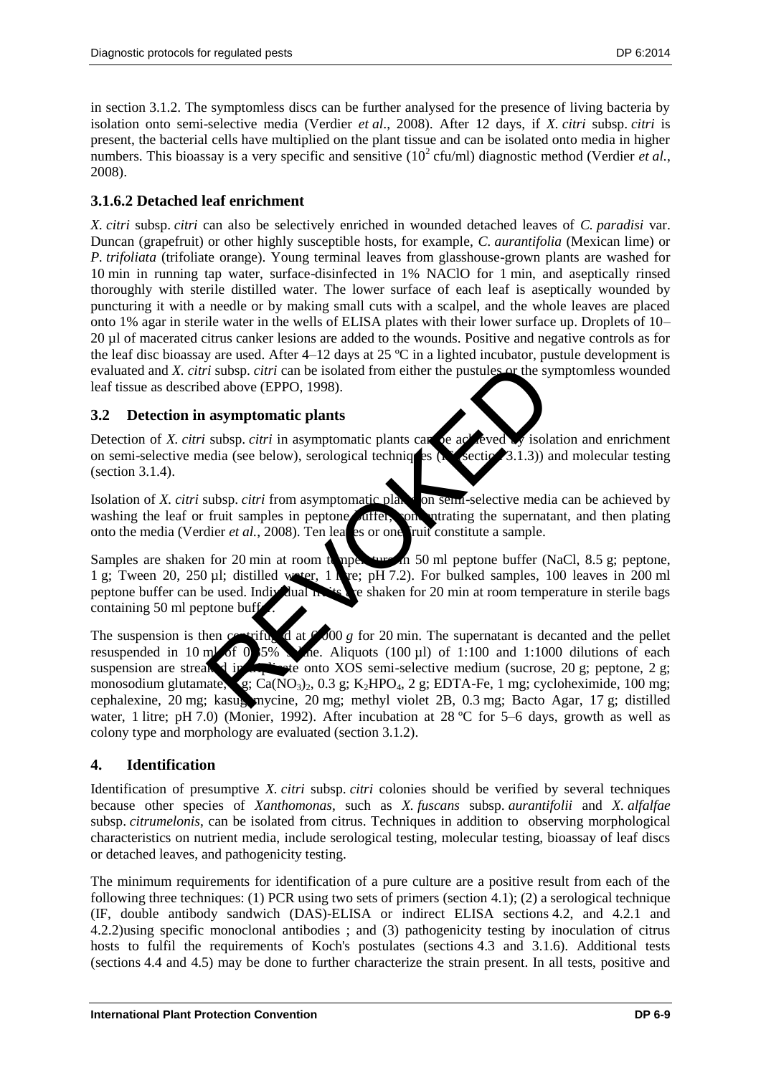in section 3.1.2. The symptomless discs can be further analysed for the presence of living bacteria by isolation onto semi-selective media (Verdier *et al*., 2008). After 12 days, if *X. citri* subsp. *citri* is present, the bacterial cells have multiplied on the plant tissue and can be isolated onto media in higher numbers. This bioassay is a very specific and sensitive  $(10^2 \text{ cfu/ml})$  diagnostic method (Verdier *et al.*, 2008).

## <span id="page-8-0"></span>**3.1.6.2 Detached leaf enrichment**

*X. citri* subsp. *citri* can also be selectively enriched in wounded detached leaves of *C. paradisi* var. Duncan (grapefruit) or other highly susceptible hosts, for example, *C. aurantifolia* (Mexican lime) or *P. trifoliata* (trifoliate orange). Young terminal leaves from glasshouse-grown plants are washed for 10 min in running tap water, surface-disinfected in 1% NAClO for 1 min, and aseptically rinsed thoroughly with sterile distilled water. The lower surface of each leaf is aseptically wounded by puncturing it with a needle or by making small cuts with a scalpel, and the whole leaves are placed onto 1% agar in sterile water in the wells of ELISA plates with their lower surface up. Droplets of 10– 20 µl of macerated citrus canker lesions are added to the wounds. Positive and negative controls as for the leaf disc bioassay are used. After  $4-12$  days at  $25^{\circ}$ C in a lighted incubator, pustule development is evaluated and *X. citri* subsp. *citri* can be isolated from either the pustules or the symptomless wounded leaf tissue as described above (EPPO, 1998).

## <span id="page-8-1"></span>**3.2 Detection in asymptomatic plants**

Detection of *X. citri* subsp. *citri* in asymptomatic plants can be achieved by isolation and enrichment on semi-selective media (see below), serological techniques ( $\sum$  section 3.1.3)) and molecular testing (section 3.1.4).

Isolation of *X. citri* subsp. *citri* from asymptomatic plants on semi-selective media can be achieved by washing the leaf or fruit samples in peptone differ, concentrating the supernatant, and then plating onto the media (Verdier *et al.*, 2008). Ten learning or one fruit constitute a sample.

Samples are shaken for 20 min at room temperature in 50 ml peptone buffer (NaCl, 8.5 g; peptone, 1 g; Tween 20, 250 µl; distilled water, 1 litre;  $p\overline{H}$  7.2). For bulked samples, 100 leaves in 200 ml peptone buffer can be used. Individual **fruits** are shaken for 20 min at room temperature in sterile bags containing  $50$  ml peptone buff

The suspension is then contrifuged at  $600 \text{ g}$  for 20 min. The supernatant is decanted and the pellet resuspended in 10 ml of 0.5% saline. Aliquots (100  $\mu$ l) of 1:100 and 1:1000 dilutions of each suspension are streaked in the onto XOS semi-selective medium (sucrose, 20 g; peptone, 2 g; monosodium glutamate,  $\epsilon$ , Ca(NO<sub>3</sub>)<sub>2</sub>, 0.3 g; K<sub>2</sub>HPO<sub>4</sub>, 2 g; EDTA-Fe, 1 mg; cycloheximide, 100 mg; cephalexine, 20 mg; kasugamycine, 20 mg; methyl violet 2B, 0.3 mg; Bacto Agar, 17 g; distilled water, 1 litre; pH 7.0) (Monier, 1992). After incubation at 28 °C for 5–6 days, growth as well as colony type and morphology are evaluated (section 3.1.2). *i* subsp. citri can be isolated from either the pustules or the sy<br>ed above (EPPO, 1998).<br> **asymptomatic plants**<br>
subsp. citri in asymptomatic plants<br>
subsp. citri from asymptomatic plants<br>
function of the subspective me

## <span id="page-8-2"></span>**4. Identification**

Identification of presumptive *X. citri* subsp. *citri* colonies should be verified by several techniques because other species of *Xanthomonas*, such as *X. fuscans* subsp. *aurantifolii* and *X. alfalfae* subsp. *citrumelonis*, can be isolated from citrus. Techniques in addition to observing morphological characteristics on nutrient media, include serological testing, molecular testing, bioassay of leaf discs or detached leaves, and pathogenicity testing.

The minimum requirements for identification of a pure culture are a positive result from each of the following three techniques: (1) PCR using two sets of primers (section 4.1); (2) a serological technique (IF, double antibody sandwich (DAS)-ELISA or indirect ELISA sections 4.2, and 4.2.1 and 4.2.2)using specific monoclonal antibodies ; and (3) pathogenicity testing by inoculation of citrus hosts to fulfil the requirements of Koch's postulates (sections 4.3 and 3.1.6). Additional tests (sections 4.4 and 4.5) may be done to further characterize the strain present. In all tests, positive and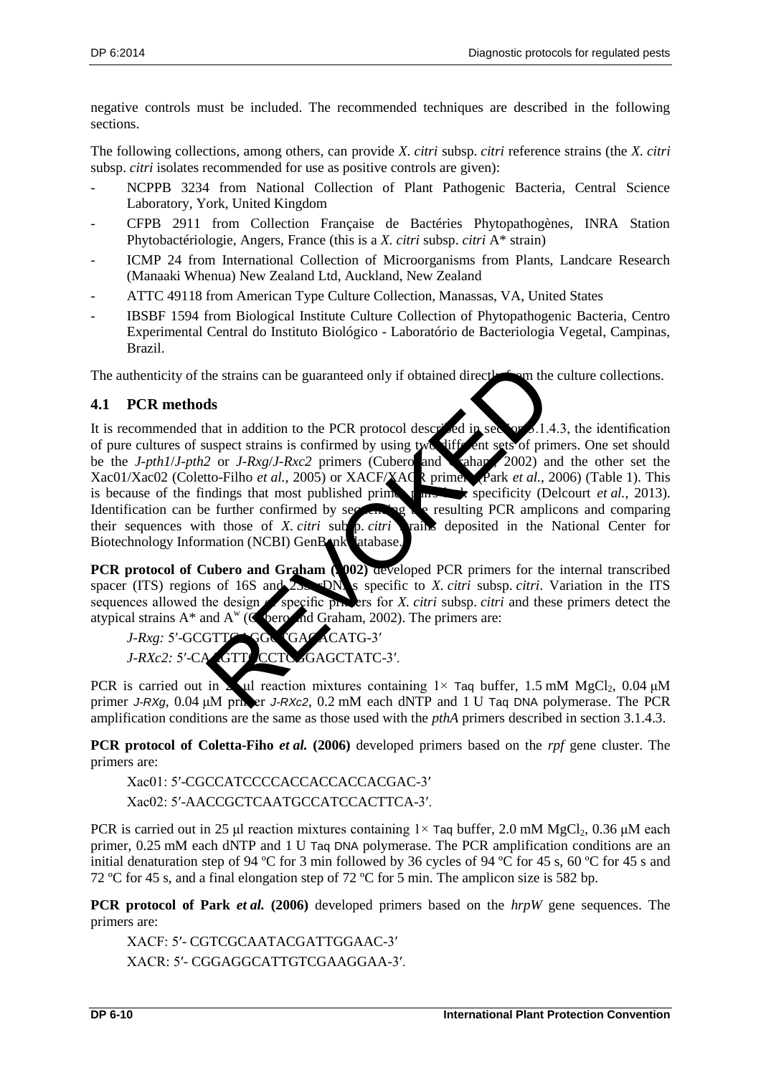negative controls must be included. The recommended techniques are described in the following sections.

The following collections, among others, can provide *X. citri* subsp. *citri* reference strains (the *X. citri*  subsp. *citri* isolates recommended for use as positive controls are given):

- NCPPB 3234 from National Collection of Plant Pathogenic Bacteria, Central Science Laboratory, York, United Kingdom
- CFPB 2911 from Collection Française de Bactéries Phytopathogènes, INRA Station Phytobactériologie, Angers, France (this is a *X. citri* subsp. *citri* A\* strain)
- ICMP 24 from International Collection of Microorganisms from Plants, Landcare Research (Manaaki Whenua) New Zealand Ltd, Auckland, New Zealand
- ATTC 49118 from American Type Culture Collection, Manassas, VA, United States
- IBSBF 1594 from Biological Institute Culture Collection of Phytopathogenic Bacteria, Centro Experimental Central do Instituto Biológico - Laboratório de Bacteriologia Vegetal, Campinas, Brazil.

The authenticity of the strains can be guaranteed only if obtained directly from the culture collections.

## <span id="page-9-0"></span>**4.1 PCR methods**

It is recommended that in addition to the PCR protocol described in section 3.1.4.3, the identification of pure cultures of suspect strains is confirmed by using two different sets of primers. One set should be the *J-pth1*/*J-pth2* or *J-Rxg*/*J-Rxc2* primers (Cubero and Graham 2002) and the other set the Xac01/Xac02 (Coletto-Filho *et al.,* 2005) or XACF/XACR primers (Park *et al.*, 2006) (Table 1). This is because of the findings that most published prime **pairs and pairs lack specificity** (Delcourt *et al.*, 2013). Identification can be further confirmed by sequencing the resulting PCR amplicons and comparing their sequences with those of *X. citri* sub *p. citri* vanime deposited in the National Center for Biotechnology Information (NCBI) GenBank latabase. the strains can be guaranteed only if obtained directles on the<br>
ds<br>
that in addition to the PCR protocol descreted in section and<br>
uspect strains is confirmed by using two lift ent sets of princ<br>
2 or *J-RxglJ-Rxc2* prim

**PCR protocol of Cubero and Graham (2002)** developed PCR primers for the internal transcribed spacer (ITS) regions of 16S and 25. DN s specific to *X. citri* subsp. *citri*. Variation in the ITS spacer (ITS) regions of 16S and 23S DNAs specific to *X. citri* subsp. *citri*. Variation in the ITS sequences allowed the design **of** specific primers for *X. citri* subsp. *citri* and these primers detect the atypical strains  $A^*$  and  $A^w$  ( $C$  bero and Graham, 2002). The primers are:

*J-Rxg:* 5'-GCGTTGAGGC GACACATG-3' *J-RXc2:* 5'-CAAGTTGCCTCAGAGCTATC-3'.

PCR is carried out in  $\sum$  ul reaction mixtures containing 1× Taq buffer, 1.5 mM MgCl<sub>2</sub>, 0.04  $\mu$ M primer *J-RXg*, 0.04 μM primer *J-RXc2*, 0.2 mM each dNTP and 1 U Taq DNA polymerase. The PCR amplification conditions are the same as those used with the *pthA* primers described in section 3.1.4.3.

**PCR protocol of Coletta-Fiho** *et al.* **(2006)** developed primers based on the *rpf* gene cluster. The primers are:

Xac01: 5′-CGCCATCCCCACCACCACCACGAC-3′

Xac02: 5′-AACCGCTCAATGCCATCCACTTCA-3′.

PCR is carried out in 25 μl reaction mixtures containing  $1 \times$  Taq buffer, 2.0 mM MgCl<sub>2</sub>, 0.36 μM each primer, 0.25 mM each dNTP and 1 U Taq DNA polymerase. The PCR amplification conditions are an initial denaturation step of 94 ºC for 3 min followed by 36 cycles of 94 ºC for 45 s, 60 ºC for 45 s and 72 °C for 45 s, and a final elongation step of 72 °C for 5 min. The amplicon size is 582 bp.

**PCR protocol of Park** *et al.* **(2006)** developed primers based on the *hrpW* gene sequences. The primers are:

XACF: 5′- CGTCGCAATACGATTGGAAC-3′ XACR: 5′- CGGAGGCATTGTCGAAGGAA-3′.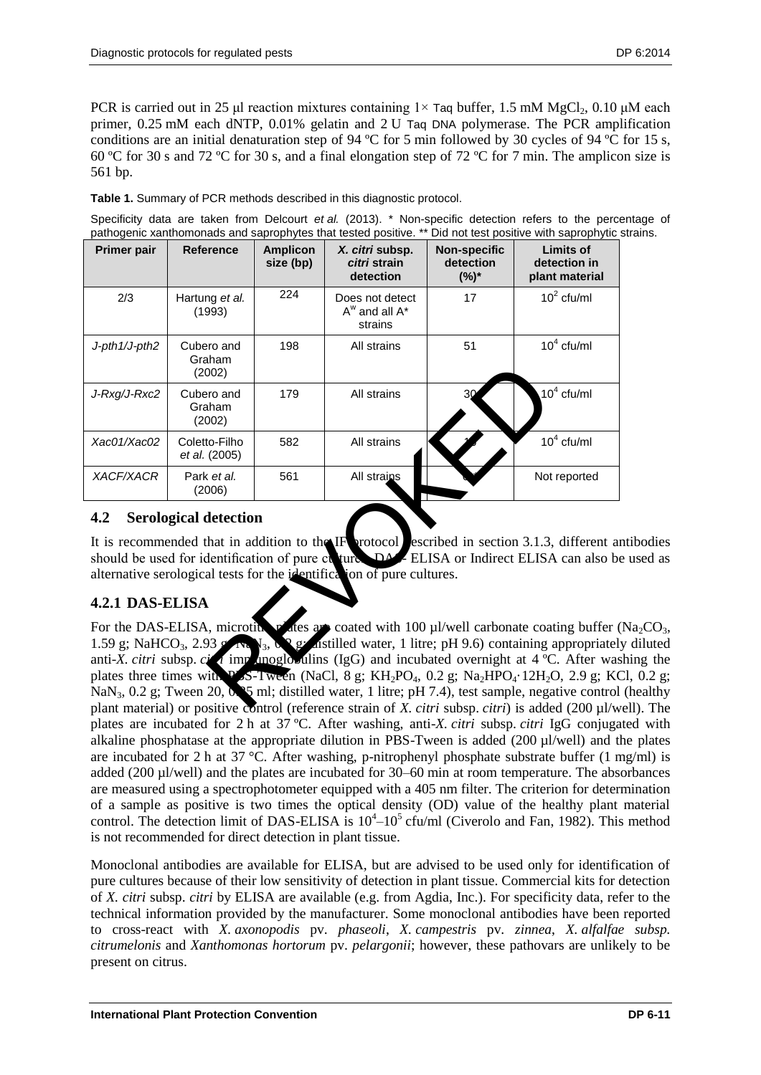PCR is carried out in 25 μl reaction mixtures containing  $1\times$  Taq buffer, 1.5 mM MgCl<sub>2</sub>, 0.10 μM each primer, 0.25 mM each dNTP, 0.01% gelatin and 2 U Taq DNA polymerase. The PCR amplification conditions are an initial denaturation step of 94 ºC for 5 min followed by 30 cycles of 94 ºC for 15 s, 60 ºC for 30 s and 72 ºC for 30 s, and a final elongation step of 72 ºC for 7 min. The amplicon size is 561 bp.

**Table 1.** Summary of PCR methods described in this diagnostic protocol.

Specificity data are taken from Delcourt *et al.* (2013). \* Non-specific detection refers to the percentage of pathogenic xanthomonads and saprophytes that tested positive. \*\* Did not test positive with saprophytic strains.

| <b>Primer pair</b> | <b>Reference</b>               | <b>Amplicon</b><br>size (bp) | X. citri subsp.<br>citri strain<br>detection                           | <b>Non-specific</b><br>detection<br>$(%)^*$ | <b>Limits of</b><br>detection in<br>plant material                                                                                                                                                                                                                                                                                                                                                                                                                                                                                                                                                                                                                                      |
|--------------------|--------------------------------|------------------------------|------------------------------------------------------------------------|---------------------------------------------|-----------------------------------------------------------------------------------------------------------------------------------------------------------------------------------------------------------------------------------------------------------------------------------------------------------------------------------------------------------------------------------------------------------------------------------------------------------------------------------------------------------------------------------------------------------------------------------------------------------------------------------------------------------------------------------------|
| 2/3                | Hartung et al.<br>(1993)       | 224                          | Does not detect<br>$A^W$ and all $A^*$<br>strains                      | 17                                          | $10^2$ cfu/ml                                                                                                                                                                                                                                                                                                                                                                                                                                                                                                                                                                                                                                                                           |
| J-pth1/J-pth2      | Cubero and<br>Graham<br>(2002) | 198                          | All strains                                                            | 51                                          | $104$ cfu/ml                                                                                                                                                                                                                                                                                                                                                                                                                                                                                                                                                                                                                                                                            |
| J-Rxg/J-Rxc2       | Cubero and<br>Graham<br>(2002) | 179                          | All strains                                                            | 30                                          | $10^4$ cfu/ml                                                                                                                                                                                                                                                                                                                                                                                                                                                                                                                                                                                                                                                                           |
| Xac01/Xac02        | Coletto-Filho<br>et al. (2005) | 582                          | All strains                                                            |                                             | $104$ cfu/ml                                                                                                                                                                                                                                                                                                                                                                                                                                                                                                                                                                                                                                                                            |
| <b>XACF/XACR</b>   | Park et al.<br>(2006)          | 561                          | All strains                                                            |                                             | Not reported                                                                                                                                                                                                                                                                                                                                                                                                                                                                                                                                                                                                                                                                            |
| 4.2                | <b>Serological detection</b>   |                              |                                                                        |                                             |                                                                                                                                                                                                                                                                                                                                                                                                                                                                                                                                                                                                                                                                                         |
|                    |                                |                              | alternative serological tests for the identification of pure cultures. |                                             | It is recommended that in addition to the IF protocol escribed in section 3.1.3, different a<br>should be used for identification of pure cu ture. DAZELISA or Indirect ELISA can also b                                                                                                                                                                                                                                                                                                                                                                                                                                                                                                |
| 4.2.1 DAS-ELISA    |                                |                              |                                                                        |                                             |                                                                                                                                                                                                                                                                                                                                                                                                                                                                                                                                                                                                                                                                                         |
|                    |                                |                              |                                                                        |                                             | For the DAS-ELISA, microtic $\mathbf{v}$ are and coated with 100 µl/well carbonate coating buffer<br>1.59 g; NaHCO <sub>3</sub> , 2.93 g Na $V_3$ , $V_2$ astilled water, 1 litre; pH 9.6) containing appropriatel<br>anti-X. citri subsp. city imposition (IgG) and incubated overnight at 4 °C. After wa<br>plates three times with $P$ S-Tween (NaCl, 8 g; KH <sub>2</sub> PO <sub>4</sub> , 0.2 g; Na <sub>2</sub> HPO <sub>4</sub> .12H <sub>2</sub> O, 2.9 g; K<br>$\text{NaN}_3$ , 0.2 g; Tween 20, 0. 5 ml; distilled water, 1 litre; pH 7.4), test sample, negative control<br>plant material) or positive control (reference strain of Y city subsp. city) is added (200 ul/w |

## <span id="page-10-0"></span>**4.2 Serological detection**

It is recommended that in addition to the IF protocol escribed in section 3.1.3, different antibodies should be used for identification of pure cultures. DASE ELISA or Indirect ELISA can also be used as alternative serological tests for the identification of pure cultures.

## <span id="page-10-1"></span>**4.2.1 DAS-ELISA**

For the DAS-ELISA, microtity  $p$  are are coated with 100 µl/well carbonate coating buffer (Na<sub>2</sub>CO<sub>3</sub>, 1.59 g; NaHCO<sub>3</sub>, 2.93 g; Na<sub>N3</sub>, 0.2 g; assilled water, 1 litre; pH 9.6) containing appropriately diluted anti-*X. citri* subsp.  $c$ *i* immunoglobulins (IgG) and incubated overnight at 4 °C. After washing the plates three times with PSS-Tween (NaCl, 8 g; KH<sub>2</sub>PO<sub>4</sub>, 0.2 g; Na<sub>2</sub>HPO<sub>4</sub>·12H<sub>2</sub>O, 2.9 g; KCl, 0.2 g; NaN<sub>3</sub>, 0.2 g; Tween 20, 0. 5 ml; distilled water, 1 litre; pH 7.4), test sample, negative control (healthy plant material) or positive control (reference strain of *X. citri* subsp. *citri*) is added (200 µl/well). The plates are incubated for 2 h at 37 ºC. After washing, anti-*X. citri* subsp. *citri* IgG conjugated with alkaline phosphatase at the appropriate dilution in PBS-Tween is added  $(200 \mu l/well)$  and the plates are incubated for 2 h at 37 °C. After washing, p-nitrophenyl phosphate substrate buffer (1 mg/ml) is added (200 µl/well) and the plates are incubated for 30–60 min at room temperature. The absorbances are measured using a spectrophotometer equipped with a 405 nm filter. The criterion for determination of a sample as positive is two times the optical density (OD) value of the healthy plant material control. The detection limit of DAS-ELISA is  $10^4$ – $10^5$  cfu/ml (Civerolo and Fan, 1982). This method is not recommended for direct detection in plant tissue.

Monoclonal antibodies are available for ELISA, but are advised to be used only for identification of pure cultures because of their low sensitivity of detection in plant tissue. Commercial kits for detection of *X. citri* subsp. *citri* by ELISA are available (e.g. from Agdia, Inc.). For specificity data, refer to the technical information provided by the manufacturer. Some monoclonal antibodies have been reported to cross-react with *X. axonopodis* pv. *phaseoli*, *X. campestris* pv. *zinnea*, *X. alfalfae subsp. citrumelonis* and *Xanthomonas hortorum* pv. *pelargonii*; however, these pathovars are unlikely to be present on citrus.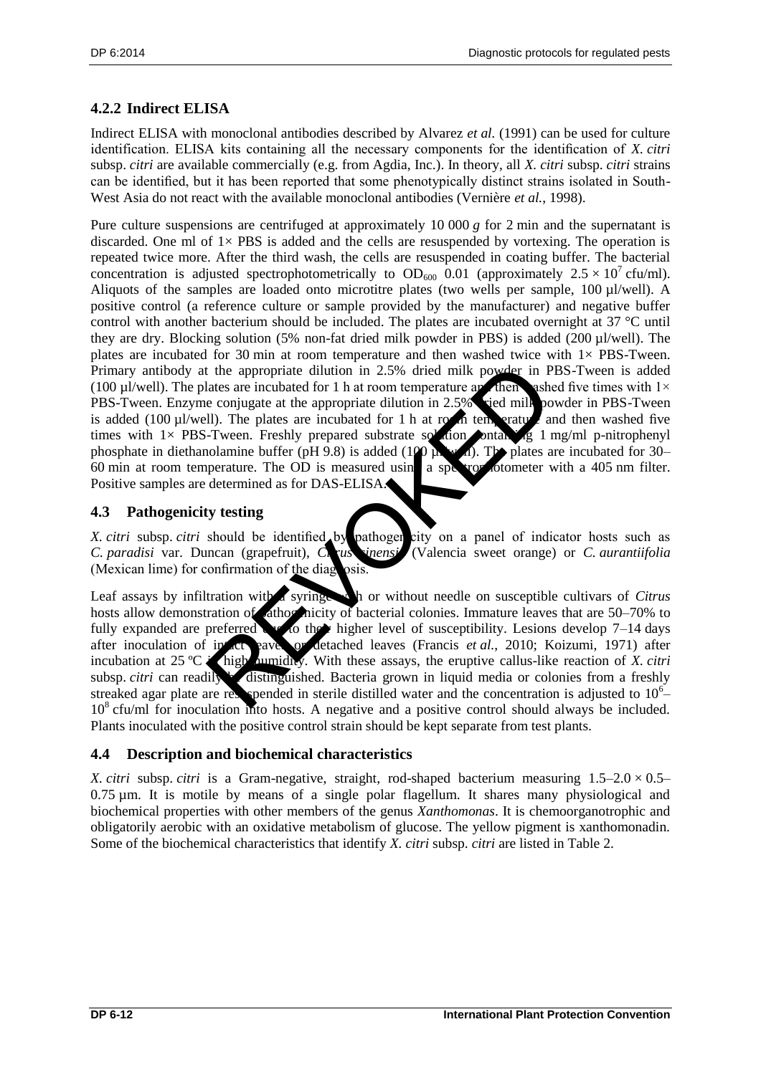## <span id="page-11-0"></span>**4.2.2 Indirect ELISA**

Indirect ELISA with monoclonal antibodies described by Alvarez *et al.* (1991) can be used for culture identification. ELISA kits containing all the necessary components for the identification of *X. citri*  subsp. *citri* are available commercially (e.g. from Agdia, Inc.). In theory, all *X. citri* subsp. *citri* strains can be identified, but it has been reported that some phenotypically distinct strains isolated in South-West Asia do not react with the available monoclonal antibodies (Vernière *et al.*, 1998).

Pure culture suspensions are centrifuged at approximately 10 000 *g* for 2 min and the supernatant is discarded. One ml of  $1 \times PBS$  is added and the cells are resuspended by vortexing. The operation is repeated twice more. After the third wash, the cells are resuspended in coating buffer. The bacterial concentration is adjusted spectrophotometrically to  $OD_{600}$  0.01 (approximately  $2.5 \times 10^{7}$  cfu/ml). Aliquots of the samples are loaded onto microtitre plates (two wells per sample, 100 µl/well). A positive control (a reference culture or sample provided by the manufacturer) and negative buffer control with another bacterium should be included. The plates are incubated overnight at 37 °C until they are dry. Blocking solution (5% non-fat dried milk powder in PBS) is added (200 µl/well). The plates are incubated for 30 min at room temperature and then washed twice with  $1 \times$  PBS-Tween. Primary antibody at the appropriate dilution in 2.5% dried milk powder in PBS-Tween is added (100 µl/well). The plates are incubated for 1 h at room temperature and then washed five times with  $1\times$ PBS-Tween. Enzyme conjugate at the appropriate dilution in 2.5% ried milk powder in PBS-Tween is added (100  $\mu$ l/well). The plates are incubated for 1 h at room temperature and then washed five times with  $1 \times$  PBS-Tween. Freshly prepared substrate solution containing 1 mg/ml p-nitrophenyl phosphate in diethanolamine buffer (pH 9.8) is added (100  $\mu$  w. i). The plates are incubated for 30–  $60$  min at room temperature. The OD is measured using a spectrophotometer with a 405 nm filter. Positive samples are determined as for DAS-ELISA. the appropriate dilution in 2.5% dried milk powder in Patea are incubated for 1 h at room temperature are dientified<br>
II). The plates are incubated for 1 h at room temperature are dientified<br>
II). The plates are incubated

## <span id="page-11-1"></span>**4.3 Pathogenicity testing**

*X. citri* subsp. *citri* should be identified by pathogen city on a panel of indicator hosts such as *C. paradisi* var. Duncan (grapefruit), *Chrus sinensi* (Valencia sweet orange) or *C. aurantiifolia* (Mexican lime) for confirmation of the diagnosis

Leaf assays by infiltration with a syringe. In or without needle on susceptible cultivars of *Citrus* hosts allow demonstration of athogenicity of bacterial colonies. Immature leaves that are 50–70% to fully expanded are preferred to the higher level of susceptibility. Lesions develop  $7-14$  days after inoculation of intact payer or detached leaves (Francis *et al.*, 2010; Koizumi, 1971) after incubation at 25 °C is high humidles. With these assays, the eruptive callus-like reaction of *X. citri* subsp. *citri* can readily be distinguished. Bacteria grown in liquid media or colonies from a freshly streaked agar plate are respended in sterile distilled water and the concentration is adjusted to  $10<sup>6</sup>$ 10<sup>8</sup> cfu/ml for inoculation into hosts. A negative and a positive control should always be included. Plants inoculated with the positive control strain should be kept separate from test plants.

## <span id="page-11-2"></span>**4.4 Description and biochemical characteristics**

*X. citri* subsp. *citri* is a Gram-negative, straight, rod-shaped bacterium measuring  $1.5-2.0 \times 0.5 0.75 \mu$ m. It is motile by means of a single polar flagellum. It shares many physiological and biochemical properties with other members of the genus *Xanthomonas*. It is chemoorganotrophic and obligatorily aerobic with an oxidative metabolism of glucose. The yellow pigment is xanthomonadin. Some of the biochemical characteristics that identify *X. citri* subsp. *citri* are listed in Table 2.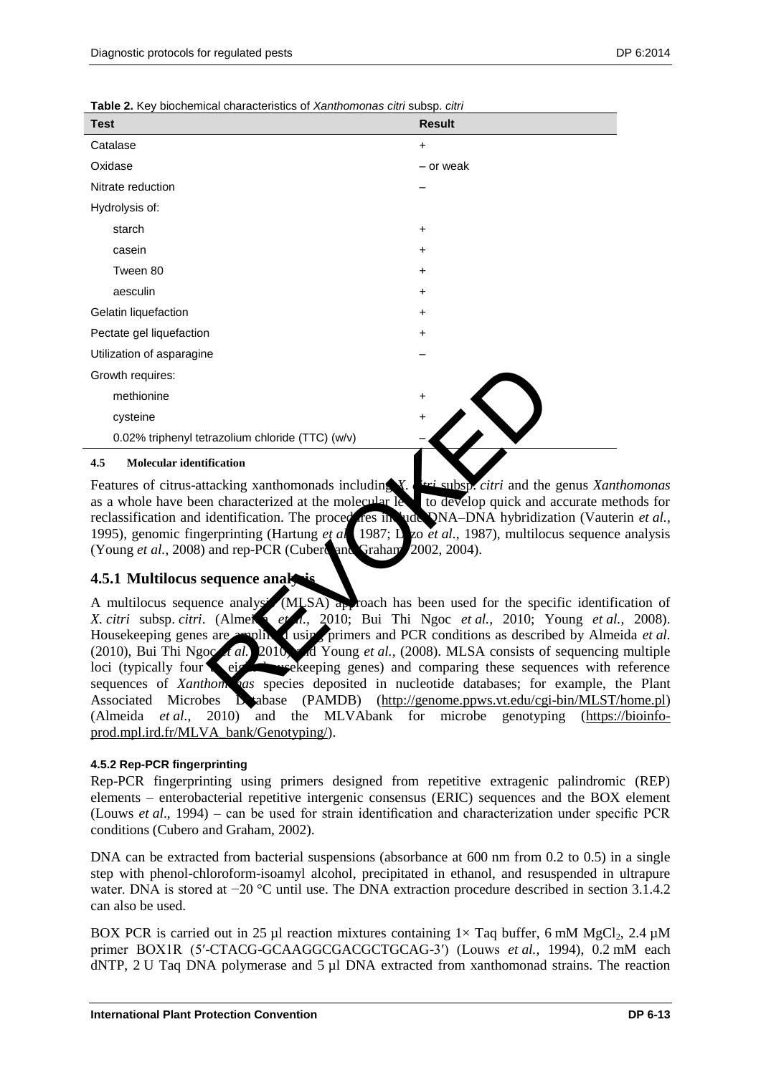**Table 2.** Key biochemical characteristics of *Xanthomonas citri* subsp. *citri* 

| <b>Test</b>                                      | <b>Result</b> |
|--------------------------------------------------|---------------|
| Catalase                                         | $\ddot{}$     |
| Oxidase                                          | - or weak     |
| Nitrate reduction                                |               |
| Hydrolysis of:                                   |               |
| starch                                           | $\ddot{}$     |
| casein                                           | $\ddot{}$     |
| Tween 80                                         | $\ddot{}$     |
| aesculin                                         | $\ddot{}$     |
| Gelatin liquefaction                             | $\ddot{}$     |
| Pectate gel liquefaction                         | $\ddot{}$     |
| Utilization of asparagine                        |               |
| Growth requires:                                 |               |
| methionine                                       | $\ddot{}$     |
| cysteine                                         | $\ddot{}$     |
| 0.02% triphenyl tetrazolium chloride (TTC) (w/v) |               |
| 4.5<br><b>Molecular identification</b>           |               |

<span id="page-12-0"></span>Features of citrus-attacking xanthomonads including *X. citri* subsp. *citri* and the genus *Xanthomonas* as a whole have been characterized at the molecular  $\frac{1}{2}$  to develop quick and accurate methods for reclassification and identification. The procedures include DNA–DNA hybridization (Vauterin *et al.*, 1995), genomic fingerprinting (Hartung *et al.*, 1987; L<sub>zo</sub> *et al.*, 1987), multilocus sequence analysis (Young *et al.*, 2008) and rep-PCR (Cubero and Graham 2002, 2004).

#### <span id="page-12-1"></span>**4.5.1 Multilocus sequence analy**

A multilocus sequence analysis (MLSA) approach has been used for the specific identification of *X. citri* subsp. *citri.* (Almeida *et al.,* 2010; Bui Thi Ngoc *et al.,* 2010; Young *et al.,* 2008). Housekeeping genes are amplified using primers and PCR conditions as described by Almeida *et al.* (2010), Bui Thi Ngoc *t al.*, 2010, and Young *et al.*, (2008). MLSA consists of sequencing multiple loci (typically four to eight housekeeping genes) and comparing these sequences with reference sequences of *Xanthom* as species deposited in nucleotide databases; for example, the Plant Associated Microbes Database (PAMDB) [\(http://genome.ppws.vt.edu/cgi-bin/MLST/home.pl\)](http://genome.ppws.vt.edu/cgi-bin/MLST/home.pl) (Almeida *et al.*, 2010) and the MLVAbank for microbe genotyping [\(https://bioinfo](https://bioinfo-prod.mpl.ird.fr/MLVA_bank/Genotyping/)[prod.mpl.ird.fr/MLVA\\_bank/Genotyping/\)](https://bioinfo-prod.mpl.ird.fr/MLVA_bank/Genotyping/). Trazolium chloride (TTC) (w/v)<br>
Fication<br>
tacking xanthomonads including  $X$  are subspicially and the<br>
in characterized at the molecular less in the to develop quick and the<br>
identification. The proced res in the NA-DNA h

#### **4.5.2 Rep-PCR fingerprinting**

Rep-PCR fingerprinting using primers designed from repetitive extragenic palindromic (REP) elements – enterobacterial repetitive intergenic consensus (ERIC) sequences and the BOX element (Louws *et al*., 1994) – can be used for strain identification and characterization under specific PCR conditions (Cubero and Graham, 2002).

DNA can be extracted from bacterial suspensions (absorbance at 600 nm from 0.2 to 0.5) in a single step with phenol-chloroform-isoamyl alcohol, precipitated in ethanol, and resuspended in ultrapure water. DNA is stored at −20 °C until use. The DNA extraction procedure described in section 3.1.4.2 can also be used.

BOX PCR is carried out in 25 µl reaction mixtures containing  $1 \times$  Taq buffer, 6 mM MgCl<sub>2</sub>, 2.4 µM primer BOX1R (5′-CTACG-GCAAGGCGACGCTGCAG-3′) (Louws *et al.,* 1994), 0.2 mM each dNTP, 2 U Taq DNA polymerase and 5 µl DNA extracted from xanthomonad strains. The reaction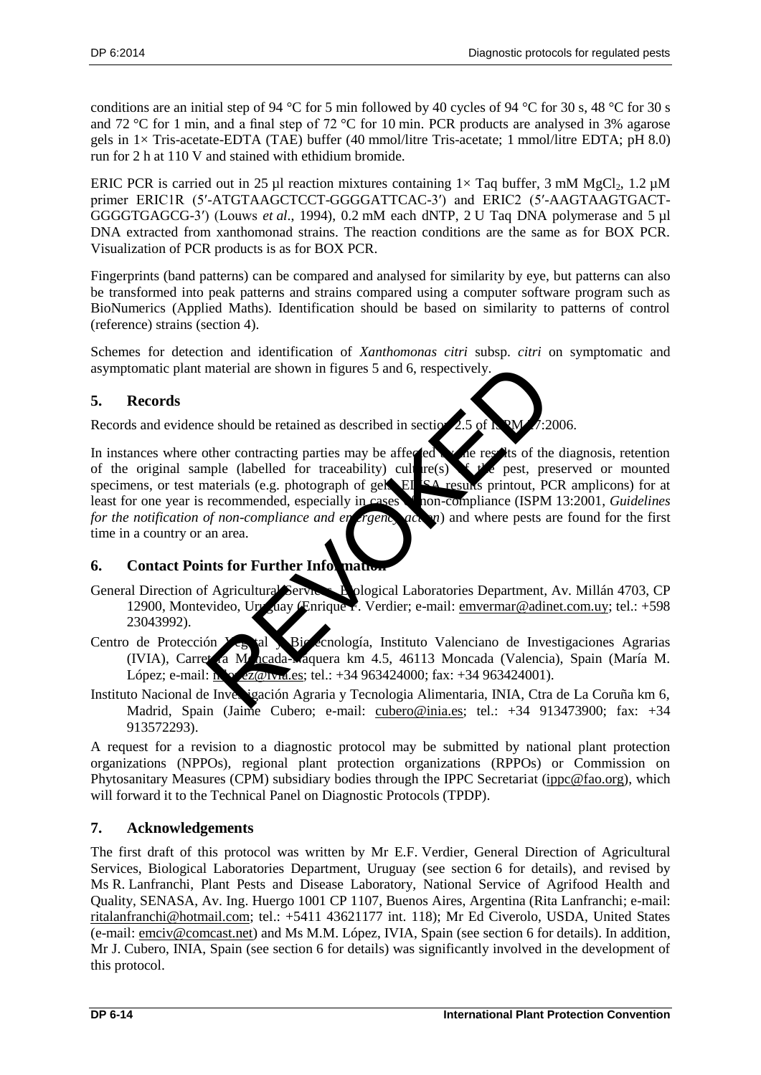conditions are an initial step of 94 °C for 5 min followed by 40 cycles of 94 °C for 30 s, 48 °C for 30 s and 72 °C for 1 min, and a final step of 72 °C for 10 min. PCR products are analysed in 3% agarose gels in 1× Tris-acetate-EDTA (TAE) buffer (40 mmol/litre Tris-acetate; 1 mmol/litre EDTA; pH 8.0) run for 2 h at 110 V and stained with ethidium bromide.

ERIC PCR is carried out in 25 µl reaction mixtures containing  $1 \times$  Taq buffer, 3 mM MgCl<sub>2</sub>, 1.2 µM primer ERIC1R (5′-ATGTAAGCTCCT-GGGGATTCAC-3′) and ERIC2 (5′-AAGTAAGTGACT-GGGGTGAGCG-3′) (Louws *et al*., 1994), 0.2 mM each dNTP, 2 U Taq DNA polymerase and 5 µl DNA extracted from xanthomonad strains. The reaction conditions are the same as for BOX PCR. Visualization of PCR products is as for BOX PCR.

Fingerprints (band patterns) can be compared and analysed for similarity by eye, but patterns can also be transformed into peak patterns and strains compared using a computer software program such as BioNumerics (Applied Maths). Identification should be based on similarity to patterns of control (reference) strains (section 4).

Schemes for detection and identification of *Xanthomonas citri* subsp. *citri* on symptomatic and asymptomatic plant material are shown in figures 5 and 6, respectively.

## <span id="page-13-0"></span>**5. Records**

Records and evidence should be retained as described in section  $2.5$  of ISPM  $4:2006$ .

In instances where other contracting parties may be affected by the results of the diagnosis, retention of the original sample (labelled for traceability) culture(s)  $\sum f \circ f$  pest, preserved or mounted specimens, or test materials (e.g. photograph of gels, ELISA results printout, PCR amplicons) for at least for one year is recommended, especially in cases to non-compliance (ISPM 13:2001, *Guidelines for the notification of non-compliance and energiency action*) and where pests are found for the first time in a country or an area. material are shown in figures 5 and 6, respectively.<br>
The should be retained as described in section 2.5 of K and<br>
the contracting parties may be affected the results of the<br>
presentation (labelled for traceability) cultur

## <span id="page-13-1"></span>**6.** Contact Points for Further Information

- General Direction of Agricultural Services, Bological Laboratories Department, Av. Millán 4703, CP 12900, Montevideo, Uruguay (Enrique F. Verdier; e-mail: [emvermar@adinet.com.uy;](mailto:emvermar@adinet.com.uy) tel.: +598 23043992).
- Centro de Protección Yegotal y Biotecnología, Instituto Valenciano de Investigaciones Agrarias (IVIA), Carretera Moncada-Náquera km 4.5, 46113 Moncada (Valencia), Spain (María M. López; e-mail:  $\frac{1}{2}$   $\frac{1}{2}$   $\frac{1}{2}$   $\frac{1}{2}$   $\frac{1}{2}$   $\frac{1}{2}$   $\frac{1}{2}$   $\frac{1}{2}$   $\frac{1}{2}$   $\frac{1}{2}$   $\frac{1}{2}$   $\frac{1}{2}$   $\frac{1}{2}$   $\frac{1}{2}$   $\frac{1}{2}$   $\frac{1}{2}$   $\frac{1}{2}$   $\frac{1}{2}$   $\frac{1}{2}$   $\frac{1}{2}$   $\frac{1}{$
- Instituto Nacional de Investigación Agraria y Tecnologia Alimentaria, INIA, Ctra de La Coruña km 6, Madrid, Spain (Jaime Cubero; e-mail: [cubero@inia.es;](mailto:cubero@inia.es) tel.: +34 913473900; fax: +34 913572293).

A request for a revision to a diagnostic protocol may be submitted by national plant protection organizations (NPPOs), regional plant protection organizations (RPPOs) or Commission on Phytosanitary Measures (CPM) subsidiary bodies through the IPPC Secretariat [\(ippc@fao.org\)](mailto:ippc@fao.org), which will forward it to the Technical Panel on Diagnostic Protocols (TPDP).

## <span id="page-13-2"></span>**7. Acknowledgements**

The first draft of this protocol was written by Mr E.F. Verdier, General Direction of Agricultural Services, Biological Laboratories Department, Uruguay (see section 6 for details), and revised by Ms R. Lanfranchi, Plant Pests and Disease Laboratory, National Service of Agrifood Health and Quality, SENASA, Av. Ing. Huergo 1001 CP 1107, Buenos Aires, Argentina (Rita Lanfranchi; e-mail: [ritalanfranchi@hotmail.com;](mailto:ritalanfranchi@hotmail.com) tel.: +5411 43621177 int. 118); Mr Ed Civerolo, USDA, United States (e-mail: [emciv@comcast.net\)](mailto:emciv@comcast.net) and Ms M.M. López, IVIA, Spain (see section 6 for details). In addition, Mr J. Cubero, INIA, Spain (see section 6 for details) was significantly involved in the development of this protocol.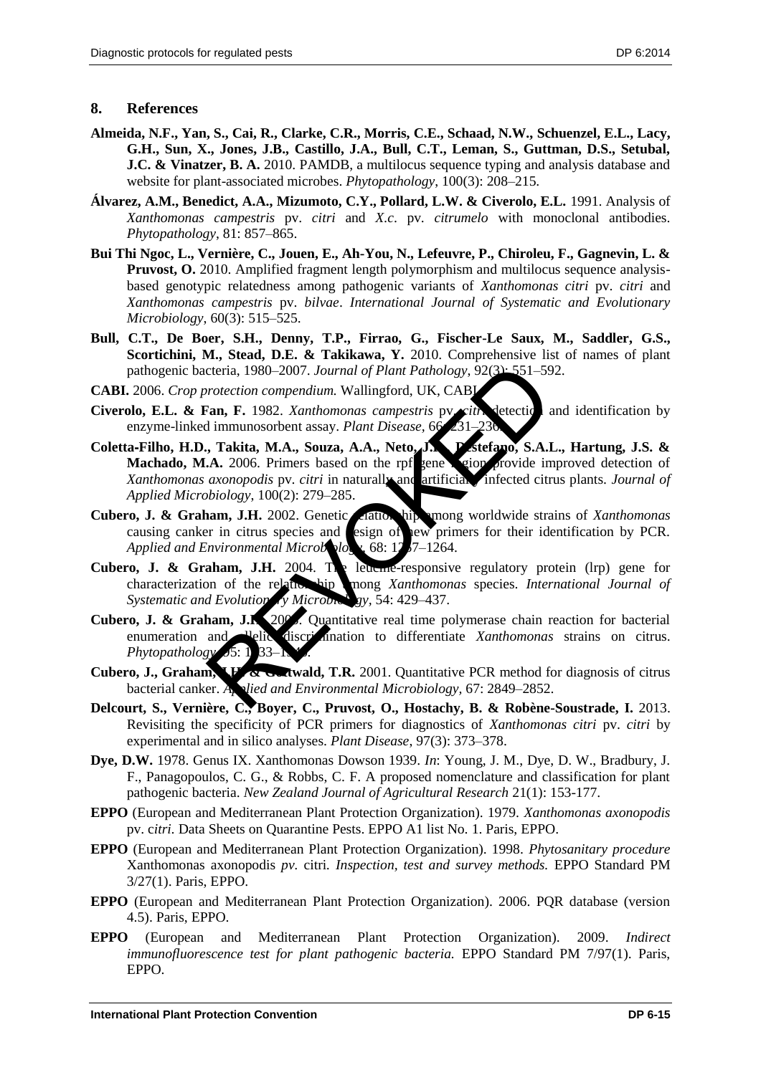#### <span id="page-14-0"></span>**8. References**

- **Almeida, N.F., Yan, S., Cai, R., Clarke, C.R., Morris, C.E., Schaad, N.W., Schuenzel, E.L., Lacy, G.H., Sun, X., Jones, J.B., Castillo, J.A., Bull, C.T., Leman, S., Guttman, D.S., Setubal, J.C. & Vinatzer, B. A.** 2010. PAMDB, a multilocus sequence typing and analysis database and website for plant-associated microbes. *Phytopathology*, 100(3): 208–215.
- **Álvarez, A.M., Benedict, A.A., Mizumoto, C.Y., Pollard, L.W. & Civerolo, E.L.** 1991. Analysis of *Xanthomonas campestris* pv. *citri* and *X.c*. pv. *citrumelo* with monoclonal antibodies. *Phytopathology*, 81: 857–865.
- **Bui Thi Ngoc, L., Vernière, C., Jouen, E., Ah-You, N., Lefeuvre, P., Chiroleu, F., Gagnevin, L. & Pruvost, O.** 2010. Amplified fragment length polymorphism and multilocus sequence analysisbased genotypic relatedness among pathogenic variants of *Xanthomonas citri* pv. *citri* and *Xanthomonas campestris* pv. *bilvae*. *International Journal of Systematic and Evolutionary Microbiology*, 60(3): 515–525.
- **Bull, C.T., De Boer, S.H., Denny, T.P., Firrao, G., Fischer-Le Saux, M., Saddler, G.S., Scortichini, M., Stead, D.E. & Takikawa, Y.** 2010. Comprehensive list of names of plant pathogenic bacteria, 1980–2007. *Journal of Plant Pathology*, 92(3): 551–592.
- **CABI.** 2006. *Crop protection compendium.* Wallingford, UK, CABI.
- Civerolo, E.L. & Fan, F. 1982. *Xanthomonas campestris* pv. citrication and identification by enzyme-linked immunosorbent assay. *Plant Disease*, 66
- **Coletta**‐**Filho, H.D., Takita, M.A., Souza, A.A., Neto, J.R., Destefano, S.A.L., Hartung, J.S. & Machado, M.A.** 2006. Primers based on the rpf gene region provide improved detection of *Xanthomonas axonopodis* pv. *citri* in naturally and artificial infected citrus plants. *Journal of Applied Microbiology*, 100(2): 279–285. cteria, 1980–2007. Journal of Plant Pathology, 92(3)-551–59<br>
rotection compendium. Wallingford, UK, CABI<br>
Tan, F. 1982. Xanthomonas campestris py sith. detection<br>
il immunosorbent assay. Plant Disease, 66-231–236<br>
Takita,
- Cubero, J. & Graham, J.H. 2002. Genetic *clationship* mong worldwide strains of *Xanthomonas* causing canker in citrus species and esign of ew primers for their identification by PCR. *Applied and Environmental Microbiology,* 68: 1257–1264.
- Cubero, J. & Graham, J.H. 2004. The leucine-responsive regulatory protein (lrp) gene for characterization of the relationship among *Xanthomonas* species. *International Journal of* Systematic and Evolution<sub>n</sub>y Microbiology, 54: 429–437.
- Cubero, J. & Graham, J.K. 200<sup>5</sup>. Quantitative real time polymerase chain reaction for bacterial enumeration and <sup>u</sup>elic discrimination to differentiate *Xanthomonas* strains on citrus. *Phytopathology* 5: 1 33–1
- Cubero, J., Graham, H. & Gottwald, T.R. 2001. Quantitative PCR method for diagnosis of citrus bacterial canker. *Applied and Environmental Microbiology,* 67: 2849–2852.
- **Delcourt, S., Vernière, C., Boyer, C., Pruvost, O., Hostachy, B. & Robène-Soustrade, I.** 2013. Revisiting the specificity of PCR primers for diagnostics of *Xanthomonas citri* pv. *citri* by experimental and in silico analyses. *Plant Disease*, 97(3): 373–378.
- **Dye, D.W.** 1978. Genus IX. Xanthomonas Dowson 1939. *In*: Young, J. M., Dye, D. W., Bradbury, J. F., Panagopoulos, C. G., & Robbs, C. F. A proposed nomenclature and classification for plant pathogenic bacteria. *New Zealand Journal of Agricultural Research* 21(1): 153-177.
- **EPPO** (European and Mediterranean Plant Protection Organization). 1979. *Xanthomonas axonopodis*  pv. c*itri.* Data Sheets on Quarantine Pests. EPPO A1 list No. 1. Paris, EPPO.
- **EPPO** (European and Mediterranean Plant Protection Organization). 1998. *Phytosanitary procedure*  Xanthomonas axonopodis *pv.* citri*. Inspection, test and survey methods.* EPPO Standard PM 3/27(1). Paris, EPPO.
- **EPPO** (European and Mediterranean Plant Protection Organization). 2006. PQR database (version 4.5). Paris, EPPO.
- **EPPO** (European and Mediterranean Plant Protection Organization). 2009. *Indirect immunofluorescence test for plant pathogenic bacteria.* EPPO Standard PM 7/97(1). Paris, EPPO.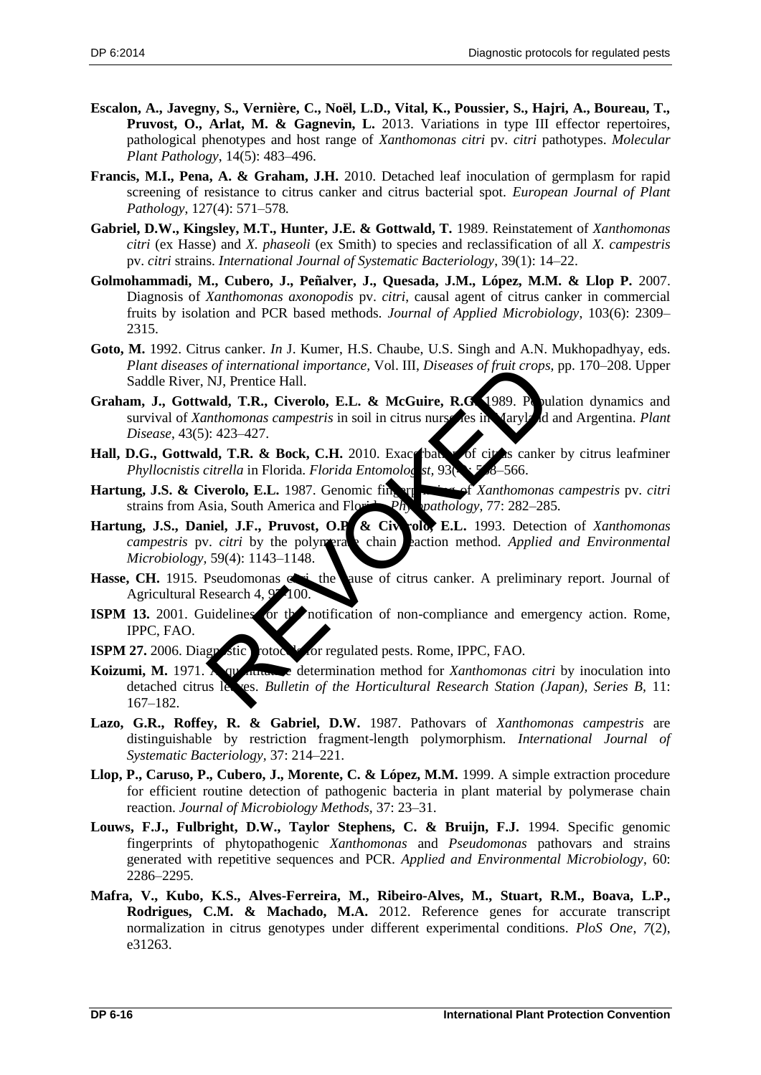- **Escalon, A., Javegny, S., Vernière, C., Noël, L.D., Vital, K., Poussier, S., Hajri, A., Boureau, T., Pruvost, O., Arlat, M. & Gagnevin, L.** 2013. Variations in type III effector repertoires, pathological phenotypes and host range of *Xanthomonas citri* pv. *citri* pathotypes. *Molecular Plant Pathology*, 14(5): 483–496.
- **Francis, M.I., Pena, A. & Graham, J.H.** 2010. Detached leaf inoculation of germplasm for rapid screening of resistance to citrus canker and citrus bacterial spot. *European Journal of Plant Pathology*, 127(4): 571–578*.*
- **Gabriel, D.W., Kingsley, M.T., Hunter, J.E. & Gottwald, T.** 1989. Reinstatement of *Xanthomonas citri* (ex Hasse) and *X. phaseoli* (ex Smith) to species and reclassification of all *X. campestris* pv. *citri* strains. *International Journal of Systematic Bacteriology*, 39(1): 14–22.
- **Golmohammadi, M., Cubero, J., Peñalver, J., Quesada, J.M., López, M.M. & Llop P.** 2007. Diagnosis of *Xanthomonas axonopodis* pv. *citri*, causal agent of citrus canker in commercial fruits by isolation and PCR based methods. *Journal of Applied Microbiology*, 103(6): 2309– 2315.
- **Goto, M.** 1992. Citrus canker. *In* J. Kumer, H.S. Chaube, U.S. Singh and A.N. Mukhopadhyay, eds. *Plant diseases of international importance,* Vol. III, *Diseases of fruit crops,* pp. 170–208. Upper Saddle River, NJ, Prentice Hall.
- **Graham, J., Gottwald, T.R., Civerolo, E.L. & McGuire, R.G.** 1989. Population dynamics and survival of *Xanthomonas campestris* in soil in citrus nurseries in Maryland and Argentina. *Plant Disease*, 43(5): 423–427.
- Hall, D.G., Gottwald, T.R. & Bock, C.H. 2010. Exace bath of citras canker by citrus leafminer *Phyllocnistis citrella* in Florida. *Florida Entomologist*, 93(4): 558–566.
- Hartung, J.S. & Civerolo, E.L. 1987. Genomic fingerprinting of *Xanthomonas campestris* pv. *citri* strains from Asia, South America and Florida. *Physopathology*, 77: 282–285.
- Hartung, J.S., Daniel, J.F., Pruvost, O.P. & Civerolo, E.L. 1993. Detection of *Xanthomonas campestris* pv. *citri* by the polymerase chain reaction method. *Applied and Environmental Microbiology,* 59(4): 1143–1148. The Contractional importance, Vol. III, Diseases of fruit crops,<br>
NJ, Prentice Hall.<br>
and, T.R., Civerolo, E.L. & McGuire, R.G. 1989. Providends<br>
inhomonas campestris in soil in citrus nurse described and<br>
it and the price
- Hasse, CH. 1915. Pseudomonas cities the cause of citrus canker. A preliminary report. Journal of Agricultural Research 4, 97-100.
- **ISPM 13.** 2001. Guidelines for the notification of non-compliance and emergency action. Rome, IPPC, FAO.
- **ISPM 27.** 2006. Diagnostic protocols for regulated pests. Rome, IPPC, FAO.
- **Koizumi, M.** 1971. A quantitative determination method for *Xanthomonas citri* by inoculation into detached citrus leaves. *Bulletin of the Horticultural Research Station (Japan), Series B,* 11: 167–182.
- **Lazo, G.R., Roffey, R. & Gabriel, D.W.** 1987. Pathovars of *Xanthomonas campestris* are distinguishable by restriction fragment-length polymorphism. *International Journal of Systematic Bacteriology,* 37: 214–221.
- **Llop, P., Caruso, P., Cubero, J., Morente, C. & López, M.M.** 1999. A simple extraction procedure for efficient routine detection of pathogenic bacteria in plant material by polymerase chain reaction. *Journal of Microbiology Methods,* 37: 23–31.
- **Louws, F.J., Fulbright, D.W., Taylor Stephens, C. & Bruijn, F.J.** 1994. Specific genomic fingerprints of phytopathogenic *Xanthomonas* and *Pseudomonas* pathovars and strains generated with repetitive sequences and PCR. *Applied and Environmental Microbiology*, 60: 2286–2295.
- **Mafra, V., Kubo, K.S., Alves-Ferreira, M., Ribeiro-Alves, M., Stuart, R.M., Boava, L.P., Rodrigues, C.M. & Machado, M.A.** 2012. Reference genes for accurate transcript normalization in citrus genotypes under different experimental conditions. *PloS One*, *7*(2), e31263.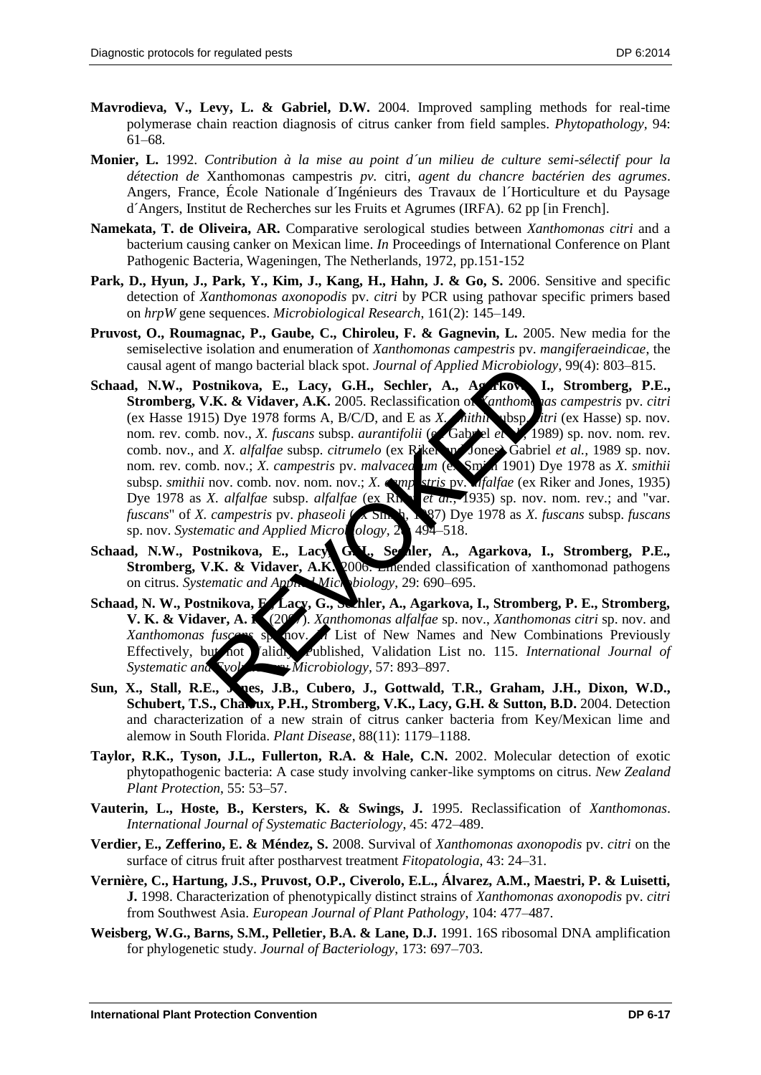- **Mavrodieva, V., Levy, L. & Gabriel, D.W.** 2004. Improved sampling methods for real-time polymerase chain reaction diagnosis of citrus canker from field samples. *Phytopathology,* 94: 61–68*.*
- **Monier, L.** 1992. *Contribution à la mise au point d´un milieu de culture semi-sélectif pour la détection de* Xanthomonas campestris *pv.* citri, *agent du chancre bactérien des agrumes*. Angers, France, École Nationale d´Ingénieurs des Travaux de l´Horticulture et du Paysage d´Angers, Institut de Recherches sur les Fruits et Agrumes (IRFA). 62 pp [in French].
- **Namekata, T. de Oliveira, AR.** Comparative serological studies between *Xanthomonas citri* and a bacterium causing canker on Mexican lime. *In* Proceedings of International Conference on Plant Pathogenic Bacteria, Wageningen, The Netherlands, 1972, pp.151-152
- **Park, D., Hyun, J., Park, Y., Kim, J., Kang, H., Hahn, J. & Go, S.** 2006. Sensitive and specific detection of *Xanthomonas axonopodis* pv. *citri* by PCR using pathovar specific primers based on *hrpW* gene sequences. *Microbiological Research*, 161(2): 145–149.
- **Pruvost, O., Roumagnac, P., Gaube, C., Chiroleu, F. & Gagnevin, L.** 2005. New media for the semiselective isolation and enumeration of *Xanthomonas campestris* pv. *mangiferaeindicae*, the causal agent of mango bacterial black spot. *Journal of Applied Microbiology*, 99(4): 803–815.
- Schaad, N.W., Postnikova, E., Lacy, G.H., Sechler, A., Agarkova, I., Stromberg, P.E., **Stromberg, V.K. & Vidaver, A.K.** 2005. Reclassification of *Xanthomonas campestris* pv. *citri* (ex Hasse 1915) Dye 1978 forms A, B/C/D, and E as *X. dithin* ubsp. *itri* (ex Hasse) sp. nov. nom. rev. comb. nov., *X. fuscans* subsp. *aurantifolii* (ex Gabriel *et 1*, 1989) sp. nov. nom. rev. comb. nov., and *X. alfalfae* subsp. *citrumelo* (ex Riker and Jones) Gabriel *et al.*, 1989 sp. nov. nom. rev. comb. nov.; *X. campestris* pv. *malvacea* um (ex Smith 1901) Dye 1978 as *X. smithii* subsp. *smithii* nov. comb. nov. nom. nov.; *X. camp stris pv. <i>afalfae* (ex Riker and Jones, 1935) Dye 1978 as *X. alfalfae* subsp. *alfalfae* (ex Rn, *et al.*, 1935) sp. nov. nom. rev.; and "var. *fuscans*" of *X. campestris* pv. *phaseoli* ( $\ltimes$  Sm, <sup>1</sup>, 197) Dye 1978 as *X. fuscans* subsp. *fuscans* sp. nov. Systematic and Applied Microbiology, 28: 494–518. It mango bacterial black spot. Journal of Applied Microbiolog, stinikova, E., Lacy, G.H., Sechler, A., As *Athome Ja.*<br>5) Dye 1978 forms A, B/C/D, and E as *X*, *hithit* ubsp. fit 5.<br>5) Dye 1978 forms A, B/C/D, and E as *X*
- Schaad, N.W., Postnikova, E., Lacy, G.**N.**, Sechler, A., Agarkova, I., Stromberg, P.E., **Stromberg, V.K. & Vidaver, A.K. 2006.** Emended classification of xanthomonad pathogens on citrus. *Systematic and Applied Microbiology*, 29: 690–695.
- Schaad, N. W., Postnikova, E., Lacy, G., Sechler, A., Agarkova, I., Stromberg, P. E., Stromberg, **V. K. & Vidaver, A. K. (2007)**. *Xanthomonas alfalfae* sp. nov., *Xanthomonas citri* sp. nov. and *Xanthomonas fusces* speciov. A List of New Names and New Combinations Previously *Xanthomonas fuscans* sp. nov. *In* List of New Names and New Combinations Previously Effectively, but not Validly, Published, Validation List no. 115. *International Journal of Systematic and Syolutionary Microbiology,* 57: 893–897.
- Sun, X., Stall, R.E., Jones, J.B., Cubero, J., Gottwald, T.R., Graham, J.H., Dixon, W.D., **Schubert, T.S., Chaloux, P.H., Stromberg, V.K., Lacy, G.H. & Sutton, B.D.** 2004. Detection and characterization of a new strain of citrus canker bacteria from Key/Mexican lime and alemow in South Florida. *Plant Disease*, 88(11): 1179–1188.
- **Taylor, R.K., Tyson, J.L., Fullerton, R.A. & Hale, C.N.** 2002. Molecular detection of exotic phytopathogenic bacteria: A case study involving canker-like symptoms on citrus. *New Zealand Plant Protection*, 55: 53–57.
- **Vauterin, L., Hoste, B., Kersters, K. & Swings, J.** 1995. Reclassification of *Xanthomonas*. *International Journal of Systematic Bacteriology*, 45: 472–489.
- **Verdier, E., Zefferino, E. & Méndez, S.** 2008. Survival of *Xanthomonas axonopodis* pv. *citri* on the surface of citrus fruit after postharvest treatment *Fitopatologia*, 43: 24–31.
- **Vernière, C., Hartung, J.S., Pruvost, O.P., Civerolo, E.L., Álvarez, A.M., Maestri, P. & Luisetti, J.** 1998. Characterization of phenotypically distinct strains of *Xanthomonas axonopodis* pv. *citri* from Southwest Asia. *European Journal of Plant Pathology*, 104: 477–487.
- **Weisberg, W.G., Barns, S.M., Pelletier, B.A. & Lane, D.J.** 1991. 16S ribosomal DNA amplification for phylogenetic study. *Journal of Bacteriology*, 173: 697–703.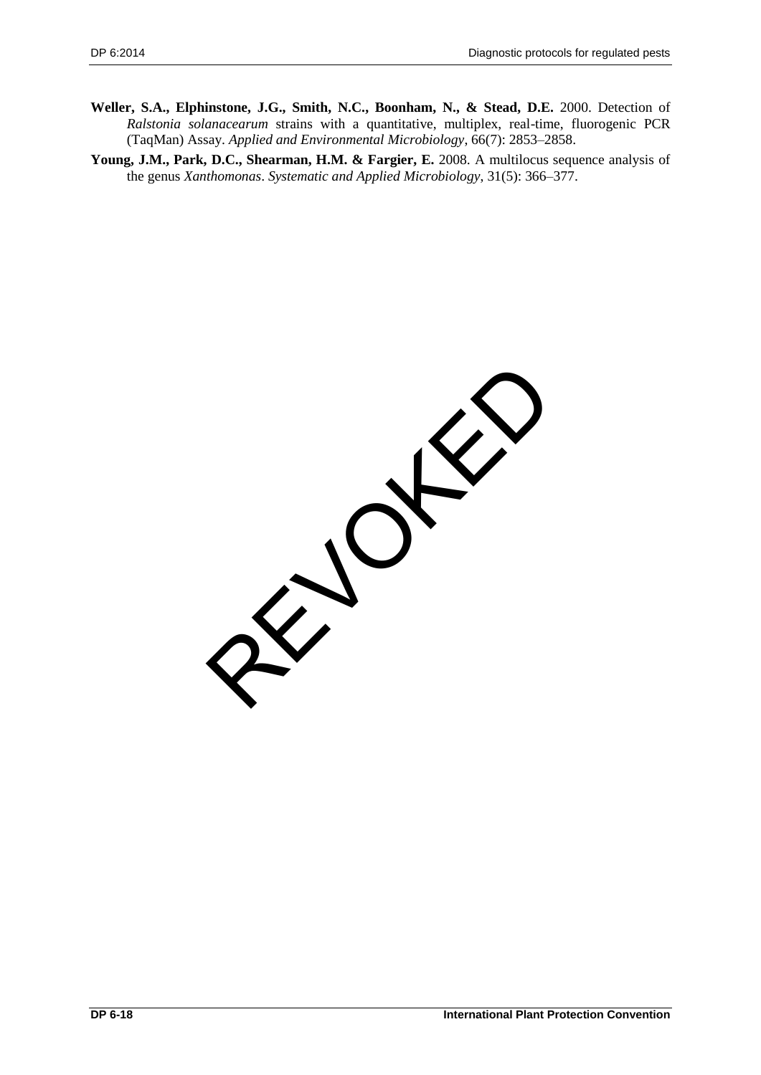**Weller, S.A., Elphinstone, J.G., Smith, N.C., Boonham, N., & Stead, D.E.** 2000. Detection of *Ralstonia solanacearum* strains with a quantitative, multiplex, real-time, fluorogenic PCR (TaqMan) Assay. *Applied and Environmental Microbiology*, 66(7): 2853–2858.

**Young, J.M., Park, D.C., Shearman, H.M. & Fargier, E.** 2008. A multilocus sequence analysis of the genus *Xanthomonas*. *Systematic and Applied Microbiology*, 31(5): 366–377.

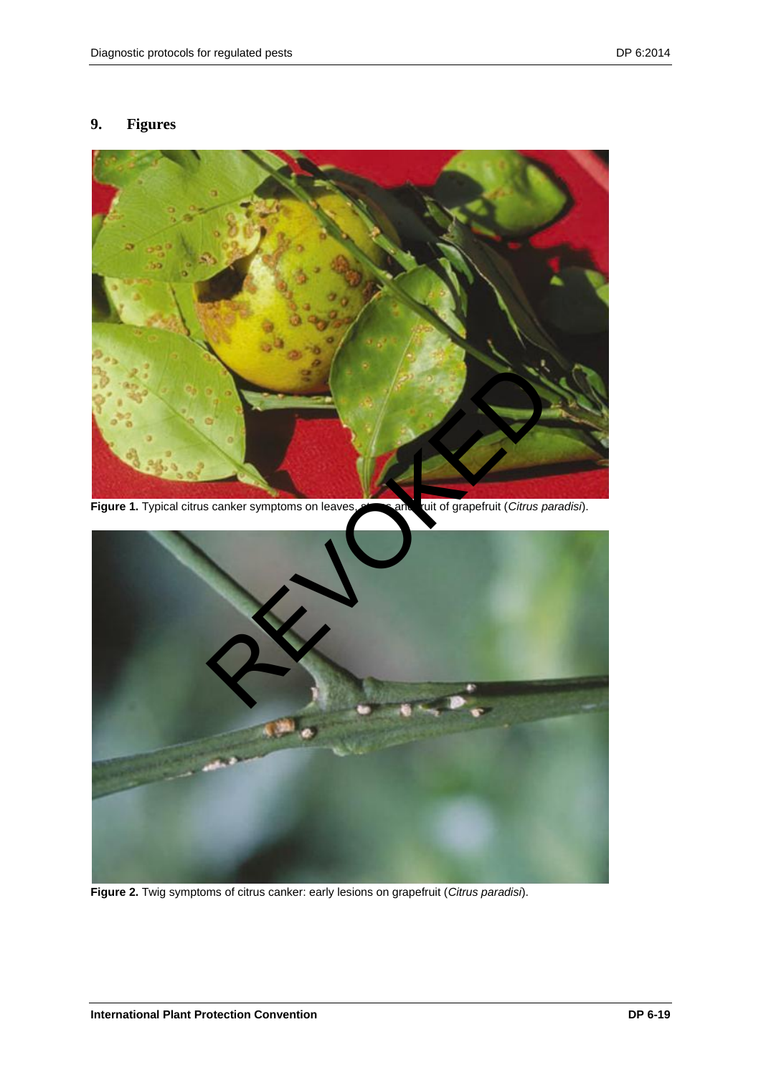## <span id="page-18-0"></span>**9. Figures**



**Figure 2.** Twig symptoms of citrus canker: early lesions on grapefruit (*Citrus paradisi*).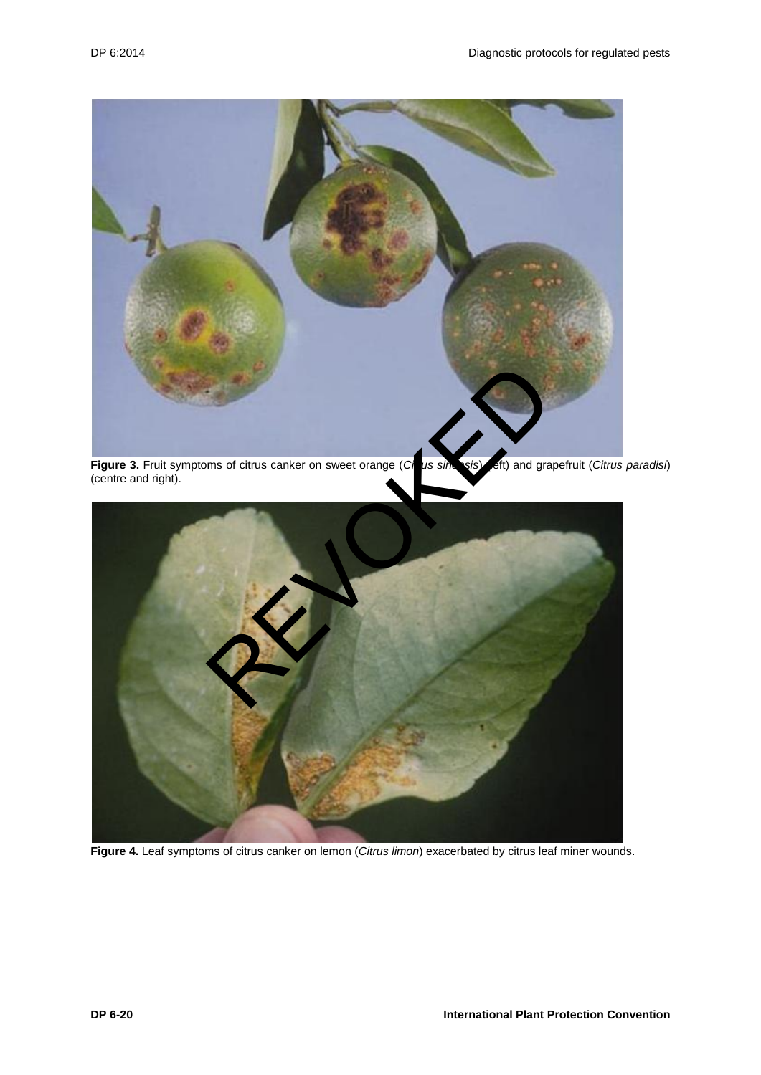

**Figure 3.** Fruit symptoms of citrus canker on sweet orange (*Citrus sinensis*) (left) and grapefruit (*Citrus paradisi*) (centre and right).



**Figure 4.** Leaf symptoms of citrus canker on lemon (*Citrus limon*) exacerbated by citrus leaf miner wounds.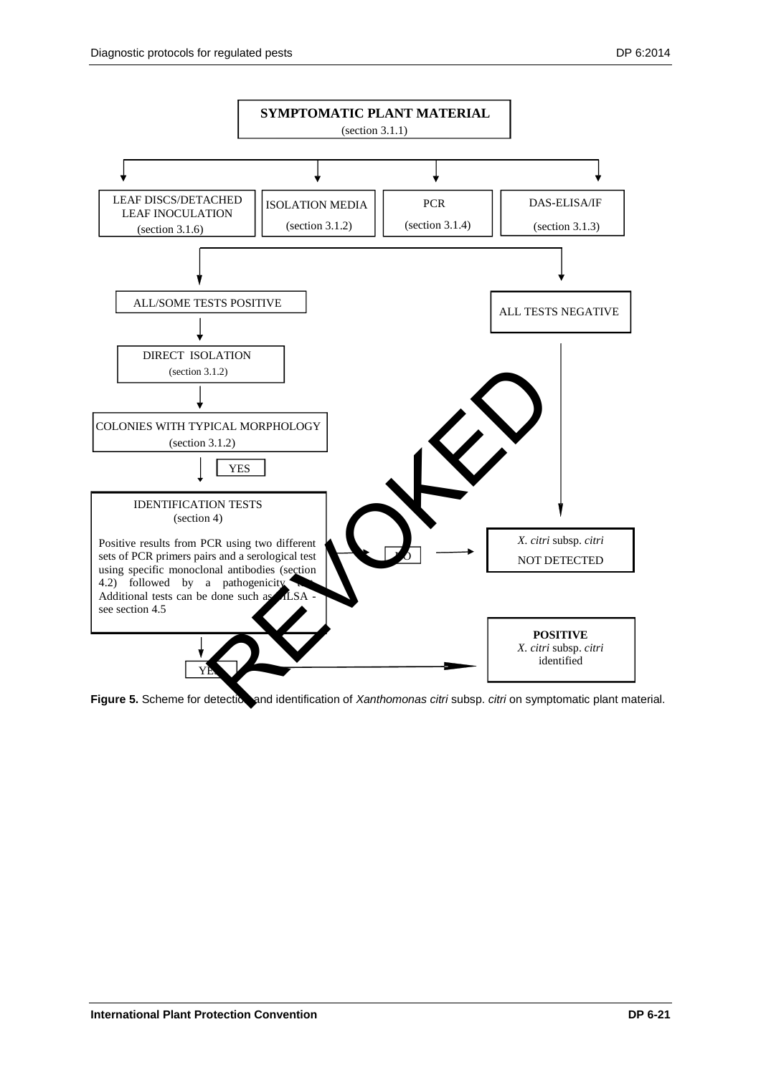

Figure 5. Scheme for detectice and identification of *Xanthomonas citri* subsp. *citri* on symptomatic plant material.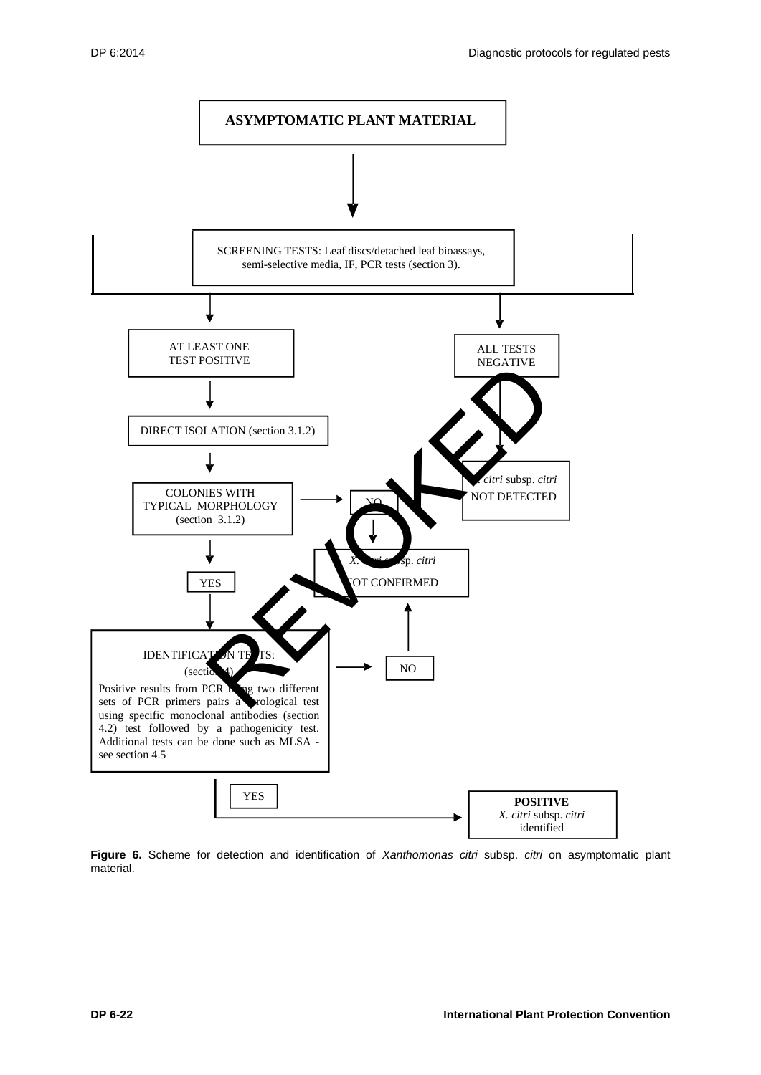![](_page_21_Figure_2.jpeg)

**Figure 6.** Scheme for detection and identification of *Xanthomonas citri* subsp. *citri* on asymptomatic plant material.